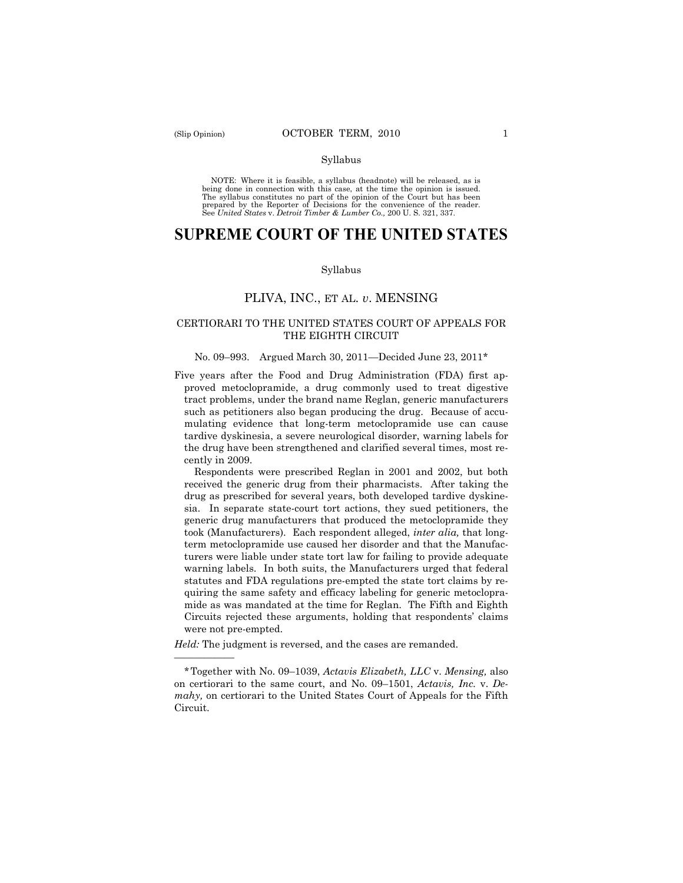——————

#### Syllabus

NOTE: Where it is feasible, a syllabus (headnote) will be released, as is being done in connection with this case, at the time the opinion is issued. The syllabus constitutes no part of the opinion of the Court but has been<br>prepared by the Reporter of Decisions for the convenience of the reader.<br>See United States v. Detroit Timber & Lumber Co., 200 U. S. 321, 337.

# **SUPREME COURT OF THE UNITED STATES**

#### Syllabus

## PLIVA, INC., ET AL. *v*. MENSING

#### CERTIORARI TO THE UNITED STATES COURT OF APPEALS FOR THE EIGHTH CIRCUIT

#### No. 09–993. Argued March 30, 2011—Decided June 23, 2011\*

Five years after the Food and Drug Administration (FDA) first approved metoclopramide, a drug commonly used to treat digestive tract problems, under the brand name Reglan, generic manufacturers such as petitioners also began producing the drug. Because of accumulating evidence that long-term metoclopramide use can cause tardive dyskinesia, a severe neurological disorder, warning labels for the drug have been strengthened and clarified several times, most recently in 2009.

Respondents were prescribed Reglan in 2001 and 2002, but both received the generic drug from their pharmacists. After taking the drug as prescribed for several years, both developed tardive dyskinesia. In separate state-court tort actions, they sued petitioners, the generic drug manufacturers that produced the metoclopramide they took (Manufacturers). Each respondent alleged, *inter alia,* that longterm metoclopramide use caused her disorder and that the Manufacturers were liable under state tort law for failing to provide adequate warning labels. In both suits, the Manufacturers urged that federal statutes and FDA regulations pre-empted the state tort claims by requiring the same safety and efficacy labeling for generic metoclopramide as was mandated at the time for Reglan. The Fifth and Eighth Circuits rejected these arguments, holding that respondents' claims were not pre-empted.

*Held:* The judgment is reversed, and the cases are remanded.

<sup>\*</sup>Together with No. 09–1039, *Actavis Elizabeth, LLC* v. *Mensing,* also on certiorari to the same court, and No. 09–1501, *Actavis, Inc.* v. *Demahy,* on certiorari to the United States Court of Appeals for the Fifth Circuit.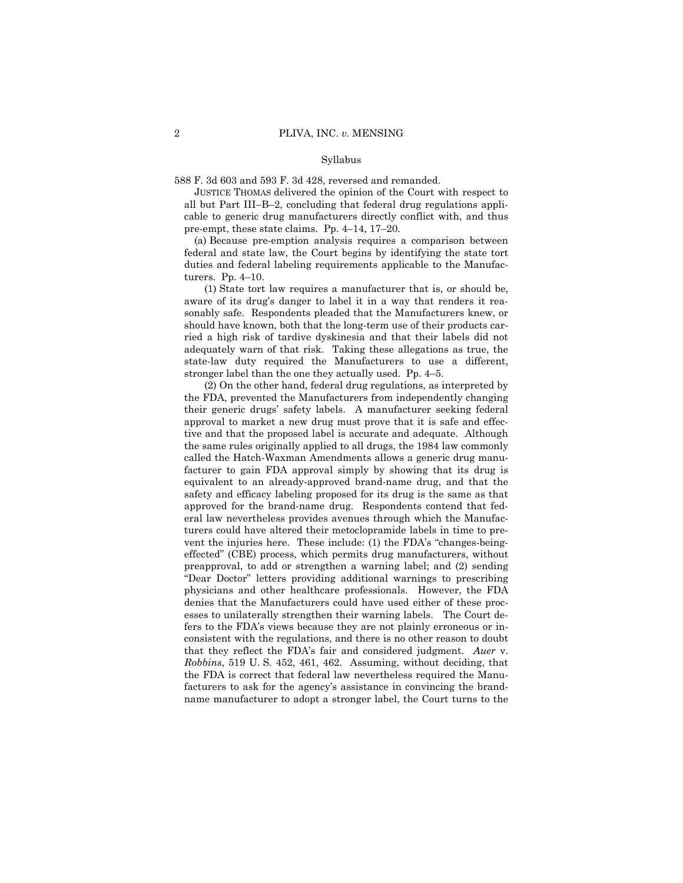#### Syllabus

588 F. 3d 603 and 593 F. 3d 428, reversed and remanded.

JUSTICE THOMAS delivered the opinion of the Court with respect to all but Part III–B–2, concluding that federal drug regulations applicable to generic drug manufacturers directly conflict with, and thus pre-empt, these state claims. Pp. 4–14, 17–20.

(a) Because pre-emption analysis requires a comparison between federal and state law, the Court begins by identifying the state tort duties and federal labeling requirements applicable to the Manufacturers. Pp. 4–10.

(1) State tort law requires a manufacturer that is, or should be, aware of its drug's danger to label it in a way that renders it reasonably safe. Respondents pleaded that the Manufacturers knew, or should have known, both that the long-term use of their products carried a high risk of tardive dyskinesia and that their labels did not adequately warn of that risk. Taking these allegations as true, the state-law duty required the Manufacturers to use a different, stronger label than the one they actually used. Pp. 4–5.

(2) On the other hand, federal drug regulations, as interpreted by the FDA, prevented the Manufacturers from independently changing their generic drugs' safety labels. A manufacturer seeking federal approval to market a new drug must prove that it is safe and effective and that the proposed label is accurate and adequate. Although the same rules originally applied to all drugs, the 1984 law commonly called the Hatch-Waxman Amendments allows a generic drug manufacturer to gain FDA approval simply by showing that its drug is equivalent to an already-approved brand-name drug, and that the safety and efficacy labeling proposed for its drug is the same as that approved for the brand-name drug. Respondents contend that federal law nevertheless provides avenues through which the Manufacturers could have altered their metoclopramide labels in time to prevent the injuries here. These include: (1) the FDA's "changes-beingeffected" (CBE) process, which permits drug manufacturers, without preapproval, to add or strengthen a warning label; and (2) sending "Dear Doctor" letters providing additional warnings to prescribing physicians and other healthcare professionals. However, the FDA denies that the Manufacturers could have used either of these processes to unilaterally strengthen their warning labels. The Court defers to the FDA's views because they are not plainly erroneous or inconsistent with the regulations, and there is no other reason to doubt that they reflect the FDA's fair and considered judgment. *Auer* v. *Robbins*, 519 U. S. 452, 461, 462. Assuming, without deciding, that the FDA is correct that federal law nevertheless required the Manufacturers to ask for the agency's assistance in convincing the brandname manufacturer to adopt a stronger label, the Court turns to the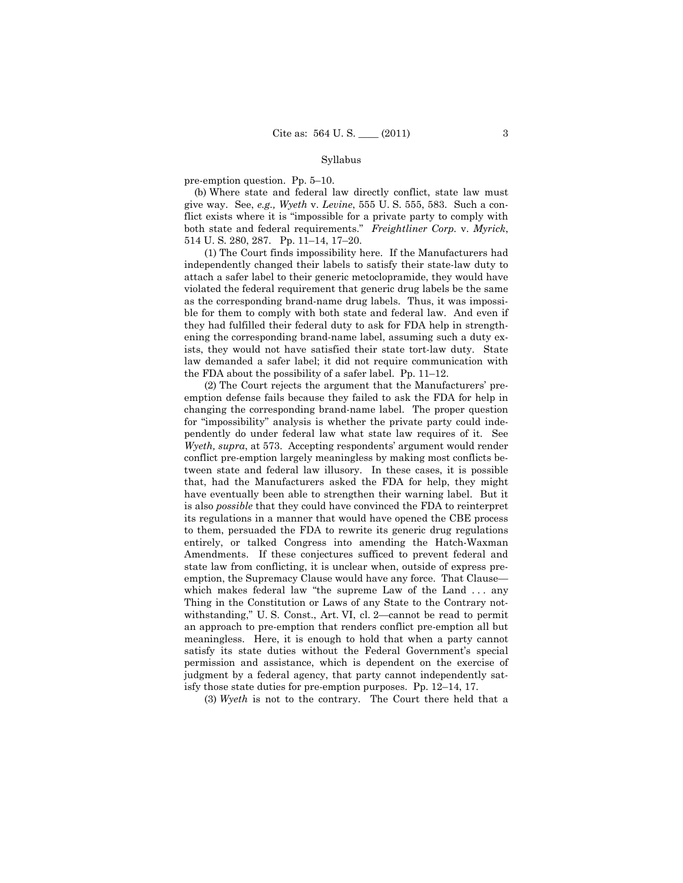#### Syllabus

pre-emption question. Pp. 5–10.

(b) Where state and federal law directly conflict, state law must give way. See, *e.g., Wyeth* v. *Levine*, 555 U. S. 555, 583. Such a conflict exists where it is "impossible for a private party to comply with both state and federal requirements." *Freightliner Corp.* v. *Myrick*, 514 U. S. 280, 287. Pp. 11–14, 17–20.

(1) The Court finds impossibility here. If the Manufacturers had independently changed their labels to satisfy their state-law duty to attach a safer label to their generic metoclopramide, they would have violated the federal requirement that generic drug labels be the same as the corresponding brand-name drug labels. Thus, it was impossible for them to comply with both state and federal law. And even if they had fulfilled their federal duty to ask for FDA help in strengthening the corresponding brand-name label, assuming such a duty exists, they would not have satisfied their state tort-law duty. State law demanded a safer label; it did not require communication with the FDA about the possibility of a safer label. Pp. 11–12.

(2) The Court rejects the argument that the Manufacturers' preemption defense fails because they failed to ask the FDA for help in changing the corresponding brand-name label. The proper question for "impossibility" analysis is whether the private party could independently do under federal law what state law requires of it. See *Wyeth, supra*, at 573. Accepting respondents' argument would render conflict pre-emption largely meaningless by making most conflicts between state and federal law illusory. In these cases, it is possible that, had the Manufacturers asked the FDA for help, they might have eventually been able to strengthen their warning label. But it is also *possible* that they could have convinced the FDA to reinterpret its regulations in a manner that would have opened the CBE process to them, persuaded the FDA to rewrite its generic drug regulations entirely, or talked Congress into amending the Hatch-Waxman Amendments. If these conjectures sufficed to prevent federal and state law from conflicting, it is unclear when, outside of express preemption, the Supremacy Clause would have any force. That Clause which makes federal law "the supreme Law of the Land . . . any Thing in the Constitution or Laws of any State to the Contrary notwithstanding," U. S. Const., Art. VI, cl. 2—cannot be read to permit an approach to pre-emption that renders conflict pre-emption all but meaningless. Here, it is enough to hold that when a party cannot satisfy its state duties without the Federal Government's special permission and assistance, which is dependent on the exercise of judgment by a federal agency, that party cannot independently satisfy those state duties for pre-emption purposes. Pp. 12–14, 17.

(3) *Wyeth* is not to the contrary. The Court there held that a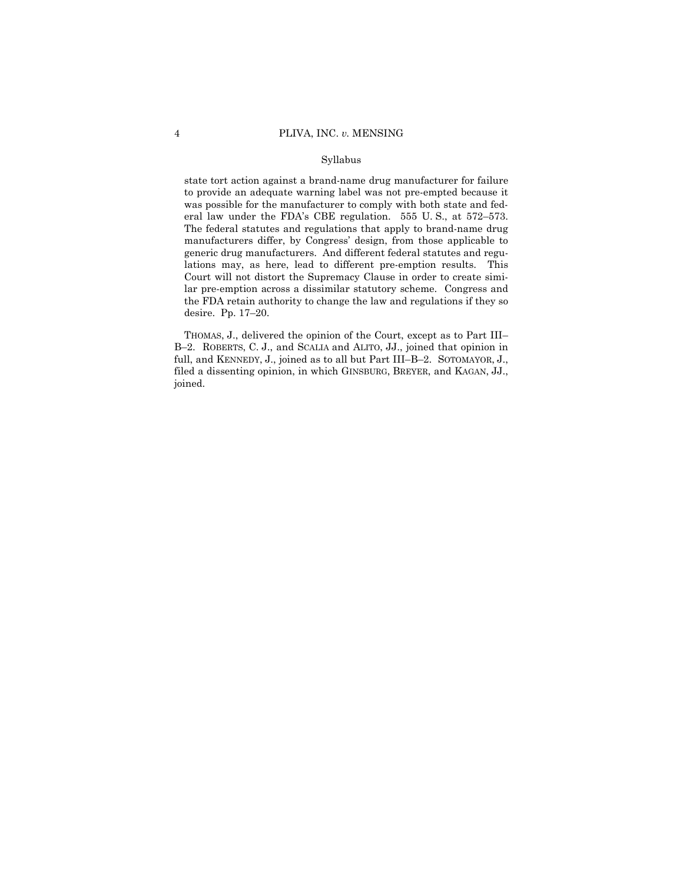#### Syllabus

state tort action against a brand-name drug manufacturer for failure to provide an adequate warning label was not pre-empted because it was possible for the manufacturer to comply with both state and federal law under the FDA's CBE regulation. 555 U. S., at 572–573. The federal statutes and regulations that apply to brand-name drug manufacturers differ, by Congress' design, from those applicable to generic drug manufacturers. And different federal statutes and regulations may, as here, lead to different pre-emption results. This Court will not distort the Supremacy Clause in order to create similar pre-emption across a dissimilar statutory scheme. Congress and the FDA retain authority to change the law and regulations if they so desire. Pp. 17–20.

THOMAS, J., delivered the opinion of the Court, except as to Part III– B–2. ROBERTS, C. J., and SCALIA and ALITO, JJ., joined that opinion in full, and KENNEDY, J., joined as to all but Part III–B–2. SOTOMAYOR, J., filed a dissenting opinion, in which GINSBURG, BREYER, and KAGAN, JJ., joined.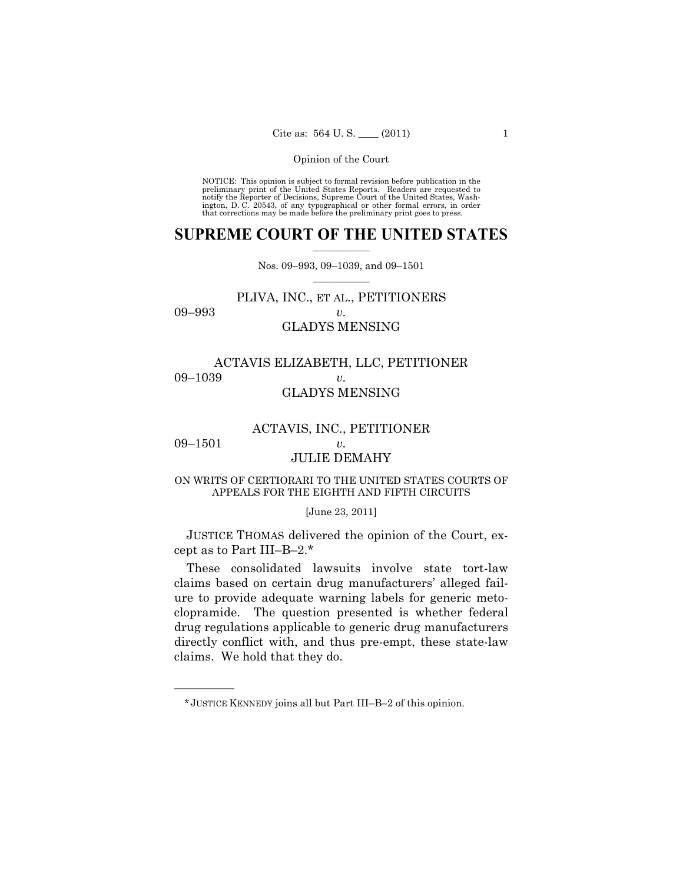NOTICE: This opinion is subject to formal revision before publication in the preliminary print of the United States Reports. Readers are requested to notify the Reporter of Decisions, Supreme Court of the United States, Washington, D. C. 20543, of any typographical or other formal errors, in order that corrections may be made before the preliminary print goes to press.

### $\frac{1}{2}$  ,  $\frac{1}{2}$  ,  $\frac{1}{2}$  ,  $\frac{1}{2}$  ,  $\frac{1}{2}$  ,  $\frac{1}{2}$  ,  $\frac{1}{2}$ **SUPREME COURT OF THE UNITED STATES**

 $\frac{1}{2}$  ,  $\frac{1}{2}$  ,  $\frac{1}{2}$  ,  $\frac{1}{2}$  ,  $\frac{1}{2}$  ,  $\frac{1}{2}$ Nos. 09–993, 09–1039, and 09–1501

## PLIVA, INC., ET AL., PETITIONERS 09–993 *v.*

# GLADYS MENSING

## ACTAVIS ELIZABETH, LLC, PETITIONER 09–1039 *v.*  GLADYS MENSING

# ACTAVIS, INC., PETITIONER 09–1501 *v.*

## JULIE DEMAHY

## ON WRITS OF CERTIORARI TO THE UNITED STATES COURTS OF APPEALS FOR THE EIGHTH AND FIFTH CIRCUITS

#### [June 23, 2011]

 JUSTICE THOMAS delivered the opinion of the Court, except as to Part III–B–2.\*

These consolidated lawsuits involve state tort-law claims based on certain drug manufacturers' alleged failure to provide adequate warning labels for generic metoclopramide. The question presented is whether federal drug regulations applicable to generic drug manufacturers directly conflict with, and thus pre-empt, these state-law claims. We hold that they do.

<sup>\*</sup> JUSTICE KENNEDY joins all but Part III–B–2 of this opinion.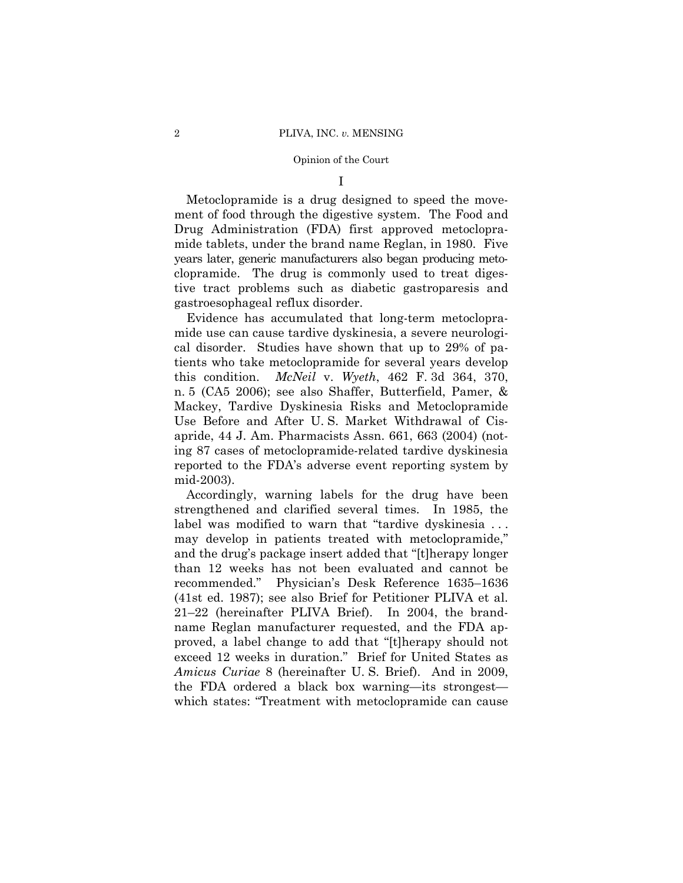I

Metoclopramide is a drug designed to speed the movement of food through the digestive system. The Food and Drug Administration (FDA) first approved metoclopramide tablets, under the brand name Reglan, in 1980. Five years later, generic manufacturers also began producing metoclopramide. The drug is commonly used to treat digestive tract problems such as diabetic gastroparesis and gastroesophageal reflux disorder.

Evidence has accumulated that long-term metoclopramide use can cause tardive dyskinesia, a severe neurological disorder. Studies have shown that up to 29% of patients who take metoclopramide for several years develop this condition. *McNeil* v. *Wyeth*, 462 F. 3d 364, 370, n. 5 (CA5 2006); see also Shaffer, Butterfield, Pamer, & Mackey, Tardive Dyskinesia Risks and Metoclopramide Use Before and After U. S. Market Withdrawal of Cisapride, 44 J. Am. Pharmacists Assn. 661, 663 (2004) (noting 87 cases of metoclopramide-related tardive dyskinesia reported to the FDA's adverse event reporting system by mid-2003).

Accordingly, warning labels for the drug have been strengthened and clarified several times. In 1985, the label was modified to warn that "tardive dyskinesia . . . may develop in patients treated with metoclopramide," and the drug's package insert added that "[t]herapy longer than 12 weeks has not been evaluated and cannot be recommended." Physician's Desk Reference 1635–1636 (41st ed. 1987); see also Brief for Petitioner PLIVA et al. 21–22 (hereinafter PLIVA Brief). In 2004, the brandname Reglan manufacturer requested, and the FDA approved, a label change to add that "[t]herapy should not exceed 12 weeks in duration." Brief for United States as *Amicus Curiae* 8 (hereinafter U. S. Brief). And in 2009, the FDA ordered a black box warning—its strongest which states: "Treatment with metoclopramide can cause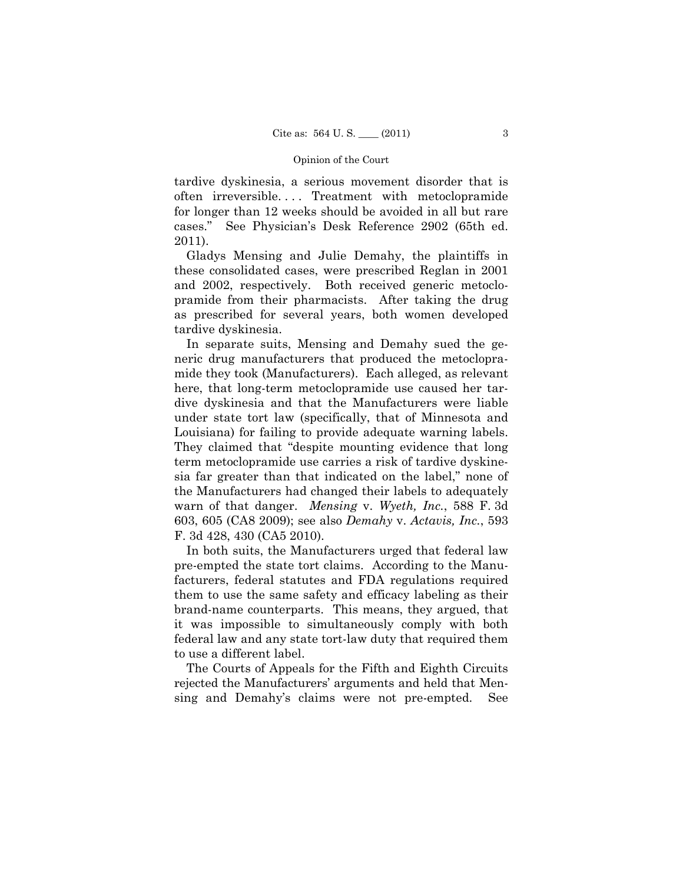tardive dyskinesia, a serious movement disorder that is often irreversible. . . . Treatment with metoclopramide for longer than 12 weeks should be avoided in all but rare cases." See Physician's Desk Reference 2902 (65th ed. 2011).

Gladys Mensing and Julie Demahy, the plaintiffs in these consolidated cases, were prescribed Reglan in 2001 and 2002, respectively. Both received generic metoclopramide from their pharmacists. After taking the drug as prescribed for several years, both women developed tardive dyskinesia.

In separate suits, Mensing and Demahy sued the generic drug manufacturers that produced the metoclopramide they took (Manufacturers). Each alleged, as relevant here, that long-term metoclopramide use caused her tardive dyskinesia and that the Manufacturers were liable under state tort law (specifically, that of Minnesota and Louisiana) for failing to provide adequate warning labels. They claimed that "despite mounting evidence that long term metoclopramide use carries a risk of tardive dyskinesia far greater than that indicated on the label," none of the Manufacturers had changed their labels to adequately warn of that danger. *Mensing* v. *Wyeth, Inc.*, 588 F. 3d 603, 605 (CA8 2009); see also *Demahy* v. *Actavis, Inc.*, 593 F. 3d 428, 430 (CA5 2010).

In both suits, the Manufacturers urged that federal law pre-empted the state tort claims. According to the Manufacturers, federal statutes and FDA regulations required them to use the same safety and efficacy labeling as their brand-name counterparts. This means, they argued, that it was impossible to simultaneously comply with both federal law and any state tort-law duty that required them to use a different label.

The Courts of Appeals for the Fifth and Eighth Circuits rejected the Manufacturers' arguments and held that Mensing and Demahy's claims were not pre-empted. See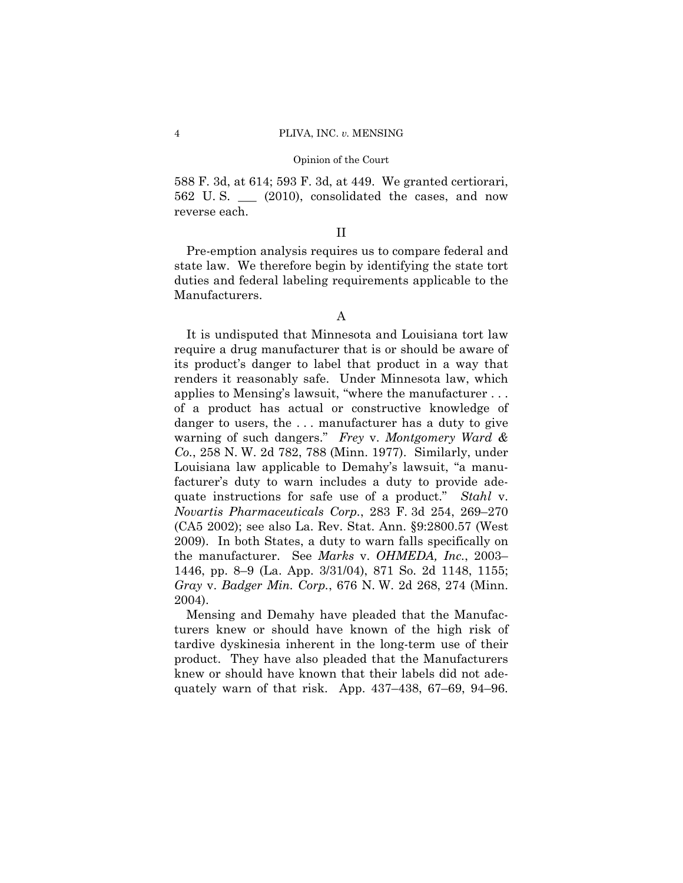588 F. 3d, at 614; 593 F. 3d, at 449. We granted certiorari, 562 U.S. \_\_ (2010), consolidated the cases, and now reverse each.

## II

Pre-emption analysis requires us to compare federal and state law. We therefore begin by identifying the state tort duties and federal labeling requirements applicable to the Manufacturers.

## A

It is undisputed that Minnesota and Louisiana tort law require a drug manufacturer that is or should be aware of its product's danger to label that product in a way that renders it reasonably safe. Under Minnesota law, which applies to Mensing's lawsuit, "where the manufacturer . . . of a product has actual or constructive knowledge of danger to users, the . . . manufacturer has a duty to give warning of such dangers." *Frey* v. *Montgomery Ward & Co.*, 258 N. W. 2d 782, 788 (Minn. 1977). Similarly, under Louisiana law applicable to Demahy's lawsuit, "a manufacturer's duty to warn includes a duty to provide adequate instructions for safe use of a product." *Stahl* v. *Novartis Pharmaceuticals Corp.*, 283 F. 3d 254, 269–270 (CA5 2002); see also La. Rev. Stat. Ann. §9:2800.57 (West 2009). In both States, a duty to warn falls specifically on the manufacturer. See *Marks* v. *OHMEDA, Inc.*, 2003– 1446, pp. 8–9 (La. App. 3/31/04), 871 So. 2d 1148, 1155; *Gray* v. *Badger Min. Corp.*, 676 N. W. 2d 268, 274 (Minn. 2004).

Mensing and Demahy have pleaded that the Manufacturers knew or should have known of the high risk of tardive dyskinesia inherent in the long-term use of their product. They have also pleaded that the Manufacturers knew or should have known that their labels did not adequately warn of that risk. App. 437–438, 67–69, 94–96.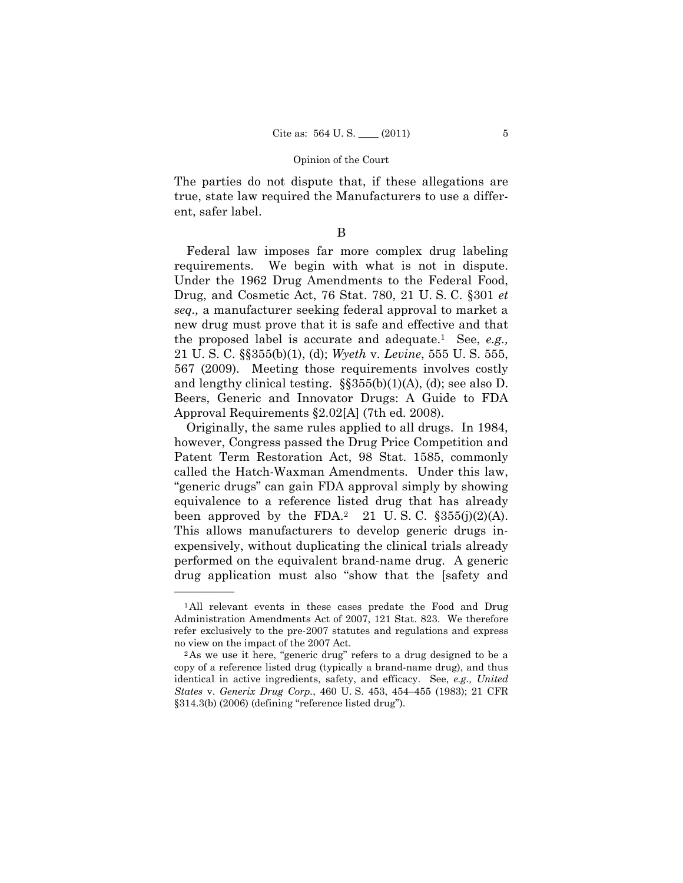The parties do not dispute that, if these allegations are true, state law required the Manufacturers to use a different, safer label.

B

Federal law imposes far more complex drug labeling requirements. We begin with what is not in dispute. Under the 1962 Drug Amendments to the Federal Food, Drug, and Cosmetic Act, 76 Stat. 780, 21 U. S. C. §301 *et seq.,* a manufacturer seeking federal approval to market a new drug must prove that it is safe and effective and that the proposed label is accurate and adequate.1 See, *e.g.,* 21 U. S. C. §§355(b)(1), (d); *Wyeth* v. *Levine*, 555 U. S. 555, 567 (2009). Meeting those requirements involves costly and lengthy clinical testing.  $\S$ §355(b)(1)(A), (d); see also D. Beers, Generic and Innovator Drugs: A Guide to FDA Approval Requirements §2.02[A] (7th ed. 2008).

Originally, the same rules applied to all drugs. In 1984, however, Congress passed the Drug Price Competition and Patent Term Restoration Act, 98 Stat. 1585, commonly called the Hatch-Waxman Amendments. Under this law, "generic drugs" can gain FDA approval simply by showing equivalence to a reference listed drug that has already been approved by the FDA.<sup>2</sup> 21 U.S.C.  $\S 355(j)(2)(A)$ . This allows manufacturers to develop generic drugs inexpensively, without duplicating the clinical trials already performed on the equivalent brand-name drug. A generic drug application must also "show that the [safety and

<sup>&</sup>lt;sup>1</sup>All relevant events in these cases predate the Food and Drug Administration Amendments Act of 2007, 121 Stat. 823. We therefore refer exclusively to the pre-2007 statutes and regulations and express no view on the impact of the 2007 Act. 2As we use it here, "generic drug" refers to a drug designed to be a

copy of a reference listed drug (typically a brand-name drug), and thus identical in active ingredients, safety, and efficacy. See, *e.g., United States* v. *Generix Drug Corp.*, 460 U. S. 453, 454–455 (1983); 21 CFR §314.3(b) (2006) (defining "reference listed drug").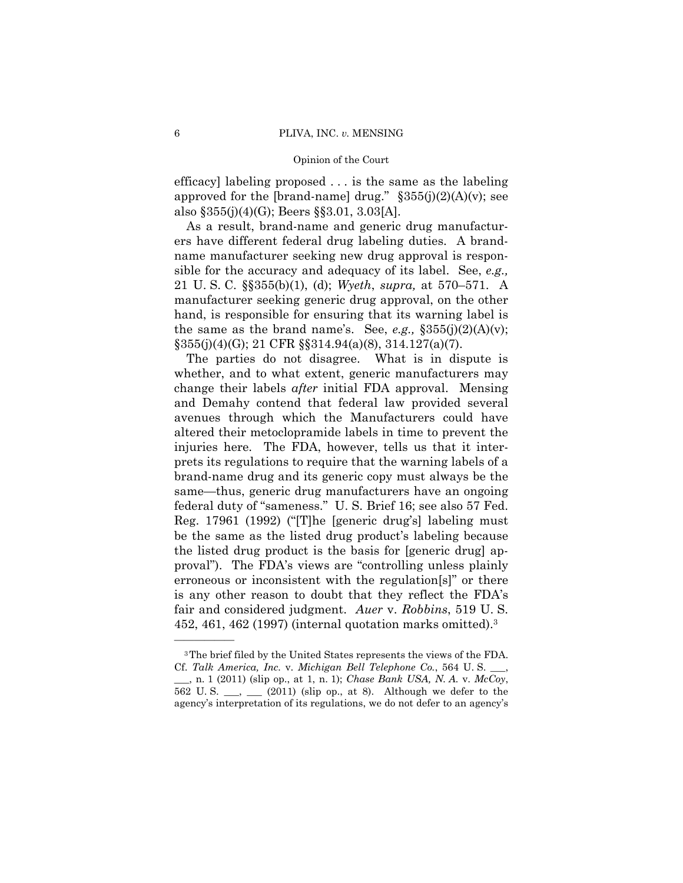efficacy] labeling proposed . . . is the same as the labeling approved for the [brand-name] drug."  $$355(j)(2)(A)(v)$ ; see also §355(j)(4)(G); Beers §§3.01, 3.03[A].

As a result, brand-name and generic drug manufacturers have different federal drug labeling duties. A brandname manufacturer seeking new drug approval is responsible for the accuracy and adequacy of its label. See, *e.g.,* 21 U. S. C. §§355(b)(1), (d); *Wyeth*, *supra,* at 570–571. A manufacturer seeking generic drug approval, on the other hand, is responsible for ensuring that its warning label is the same as the brand name's. See, *e.g.*,  $\S 355(j)(2)(A)(v)$ ; §355(j)(4)(G); 21 CFR §§314.94(a)(8), 314.127(a)(7).

The parties do not disagree. What is in dispute is whether, and to what extent, generic manufacturers may change their labels *after* initial FDA approval. Mensing and Demahy contend that federal law provided several avenues through which the Manufacturers could have altered their metoclopramide labels in time to prevent the injuries here. The FDA, however, tells us that it interprets its regulations to require that the warning labels of a brand-name drug and its generic copy must always be the same—thus, generic drug manufacturers have an ongoing federal duty of "sameness." U. S. Brief 16; see also 57 Fed. Reg. 17961 (1992) ("[T]he [generic drug's] labeling must be the same as the listed drug product's labeling because the listed drug product is the basis for [generic drug] approval"). The FDA's views are "controlling unless plainly erroneous or inconsistent with the regulation[s]" or there is any other reason to doubt that they reflect the FDA's fair and considered judgment. *Auer* v. *Robbins*, 519 U. S. 452, 461, 462 (1997) (internal quotation marks omitted).3

<sup>3</sup>The brief filed by the United States represents the views of the FDA. Cf. *Talk America, Inc.* v. *Michigan Bell Telephone Co.*, 564 U. S. \_\_\_, \_\_\_, n. 1 (2011) (slip op., at 1, n. 1); *Chase Bank USA, N. A.* v. *McCoy*, 562 U.S.  $\_\_$ ,  $\_\_$  (2011) (slip op., at 8). Although we defer to the agency's interpretation of its regulations, we do not defer to an agency's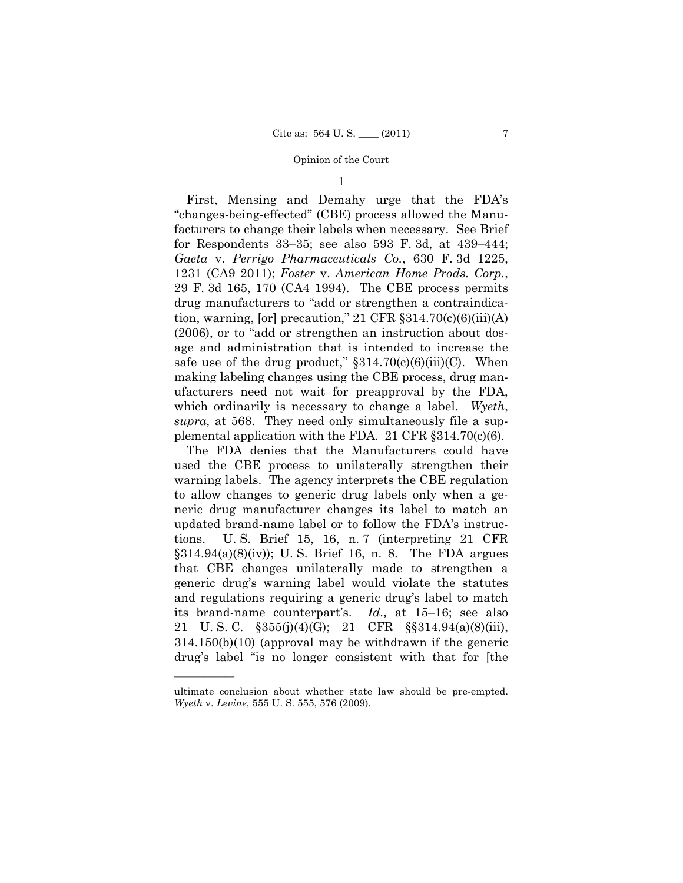1

First, Mensing and Demahy urge that the FDA's "changes-being-effected" (CBE) process allowed the Manufacturers to change their labels when necessary. See Brief for Respondents 33–35; see also 593 F. 3d, at 439–444; *Gaeta* v. *Perrigo Pharmaceuticals Co.*, 630 F. 3d 1225, 1231 (CA9 2011); *Foster* v. *American Home Prods. Corp.*, 29 F. 3d 165, 170 (CA4 1994). The CBE process permits drug manufacturers to "add or strengthen a contraindication, warning, [or] precaution,"  $21 \text{ CFR } \S 314.70 \text{ (c)}(6) \text{ (iii)}(A)$ (2006), or to "add or strengthen an instruction about dosage and administration that is intended to increase the safe use of the drug product,"  $\S 314.70(c)(6)(iii)(C)$ . When making labeling changes using the CBE process, drug manufacturers need not wait for preapproval by the FDA, which ordinarily is necessary to change a label. *Wyeth*, *supra,* at 568. They need only simultaneously file a supplemental application with the FDA. 21 CFR  $\S 314.70(c)(6)$ .

The FDA denies that the Manufacturers could have used the CBE process to unilaterally strengthen their warning labels. The agency interprets the CBE regulation to allow changes to generic drug labels only when a generic drug manufacturer changes its label to match an updated brand-name label or to follow the FDA's instructions. U. S. Brief 15, 16, n. 7 (interpreting 21 CFR  $§314.94(a)(8)(iv)$ ; U.S. Brief 16, n. 8. The FDA argues that CBE changes unilaterally made to strengthen a generic drug's warning label would violate the statutes and regulations requiring a generic drug's label to match its brand-name counterpart's. *Id.,* at 15–16; see also 21 U. S. C. §355(j)(4)(G); 21 CFR §§314.94(a)(8)(iii), 314.150(b)(10) (approval may be withdrawn if the generic drug's label "is no longer consistent with that for [the

ultimate conclusion about whether state law should be pre-empted. *Wyeth* v. *Levine*, 555 U. S. 555, 576 (2009).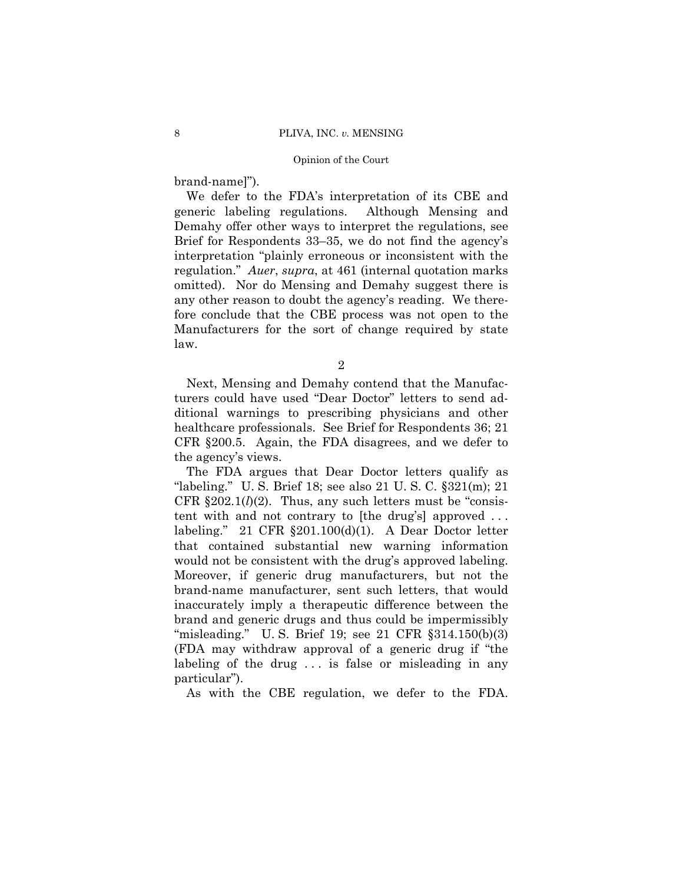brand-name]").

We defer to the FDA's interpretation of its CBE and generic labeling regulations. Although Mensing and Demahy offer other ways to interpret the regulations, see Brief for Respondents 33–35, we do not find the agency's interpretation "plainly erroneous or inconsistent with the regulation." *Auer*, *supra*, at 461 (internal quotation marks omitted). Nor do Mensing and Demahy suggest there is any other reason to doubt the agency's reading. We therefore conclude that the CBE process was not open to the Manufacturers for the sort of change required by state law.

2

Next, Mensing and Demahy contend that the Manufacturers could have used "Dear Doctor" letters to send additional warnings to prescribing physicians and other healthcare professionals. See Brief for Respondents 36; 21 CFR §200.5. Again, the FDA disagrees, and we defer to the agency's views.

The FDA argues that Dear Doctor letters qualify as "labeling." U. S. Brief 18; see also 21 U. S. C. §321(m); 21 CFR  $\S 202.1(l)(2)$ . Thus, any such letters must be "consistent with and not contrary to [the drug's] approved . . . labeling." 21 CFR §201.100(d)(1). A Dear Doctor letter that contained substantial new warning information would not be consistent with the drug's approved labeling. Moreover, if generic drug manufacturers, but not the brand-name manufacturer, sent such letters, that would inaccurately imply a therapeutic difference between the brand and generic drugs and thus could be impermissibly "misleading." U. S. Brief 19; see 21 CFR §314.150(b)(3) (FDA may withdraw approval of a generic drug if "the labeling of the drug ... is false or misleading in any particular").

As with the CBE regulation, we defer to the FDA.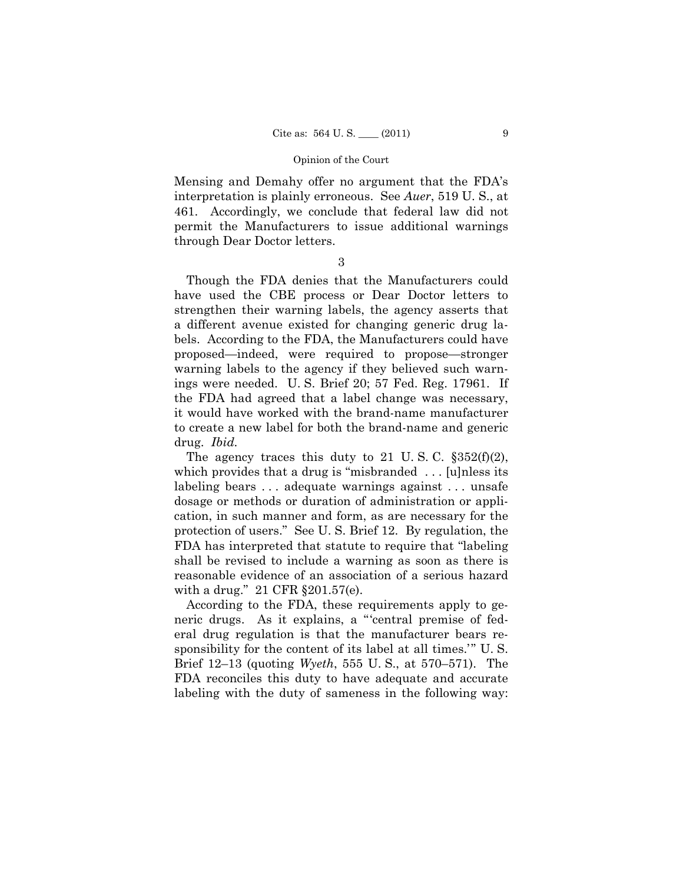Mensing and Demahy offer no argument that the FDA's interpretation is plainly erroneous. See *Auer*, 519 U. S., at 461. Accordingly, we conclude that federal law did not permit the Manufacturers to issue additional warnings through Dear Doctor letters.

3

Though the FDA denies that the Manufacturers could have used the CBE process or Dear Doctor letters to strengthen their warning labels, the agency asserts that a different avenue existed for changing generic drug labels. According to the FDA, the Manufacturers could have proposed—indeed, were required to propose—stronger warning labels to the agency if they believed such warnings were needed. U. S. Brief 20; 57 Fed. Reg. 17961. If the FDA had agreed that a label change was necessary, it would have worked with the brand-name manufacturer to create a new label for both the brand-name and generic drug. *Ibid.* 

The agency traces this duty to 21 U.S.C.  $\S 352(f)(2)$ , which provides that a drug is "misbranded . . . [u]nless its labeling bears ... adequate warnings against ... unsafe dosage or methods or duration of administration or application, in such manner and form, as are necessary for the protection of users." See U. S. Brief 12. By regulation, the FDA has interpreted that statute to require that "labeling shall be revised to include a warning as soon as there is reasonable evidence of an association of a serious hazard with a drug." 21 CFR §201.57(e).

According to the FDA, these requirements apply to generic drugs. As it explains, a "'central premise of federal drug regulation is that the manufacturer bears responsibility for the content of its label at all times.'" U. S. Brief 12–13 (quoting *Wyeth*, 555 U. S., at 570–571). The FDA reconciles this duty to have adequate and accurate labeling with the duty of sameness in the following way: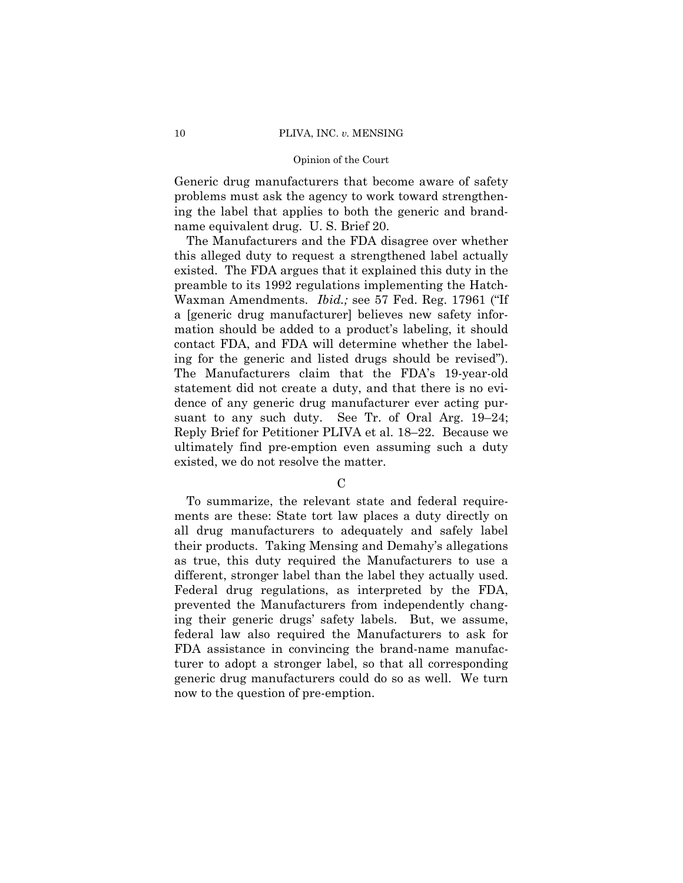Generic drug manufacturers that become aware of safety problems must ask the agency to work toward strengthening the label that applies to both the generic and brandname equivalent drug. U. S. Brief 20.

The Manufacturers and the FDA disagree over whether this alleged duty to request a strengthened label actually existed. The FDA argues that it explained this duty in the preamble to its 1992 regulations implementing the Hatch-Waxman Amendments. *Ibid.;* see 57 Fed. Reg. 17961 ("If a [generic drug manufacturer] believes new safety information should be added to a product's labeling, it should contact FDA, and FDA will determine whether the labeling for the generic and listed drugs should be revised"). The Manufacturers claim that the FDA's 19-year-old statement did not create a duty, and that there is no evidence of any generic drug manufacturer ever acting pursuant to any such duty. See Tr. of Oral Arg. 19–24; Reply Brief for Petitioner PLIVA et al. 18–22. Because we ultimately find pre-emption even assuming such a duty existed, we do not resolve the matter.

To summarize, the relevant state and federal requirements are these: State tort law places a duty directly on all drug manufacturers to adequately and safely label their products. Taking Mensing and Demahy's allegations as true, this duty required the Manufacturers to use a different, stronger label than the label they actually used. Federal drug regulations, as interpreted by the FDA, prevented the Manufacturers from independently changing their generic drugs' safety labels. But, we assume, federal law also required the Manufacturers to ask for FDA assistance in convincing the brand-name manufacturer to adopt a stronger label, so that all corresponding generic drug manufacturers could do so as well. We turn now to the question of pre-emption.

 $\mathcal{C}$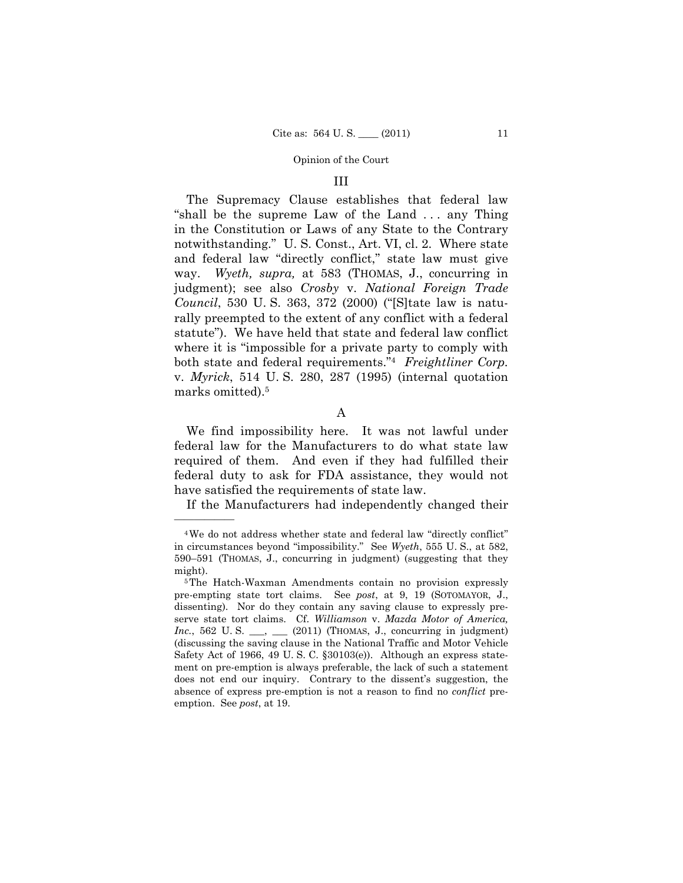#### III

The Supremacy Clause establishes that federal law "shall be the supreme Law of the Land . . . any Thing in the Constitution or Laws of any State to the Contrary notwithstanding." U. S. Const., Art. VI, cl. 2. Where state and federal law "directly conflict," state law must give way. *Wyeth, supra,* at 583 (THOMAS, J., concurring in judgment); see also *Crosby* v. *National Foreign Trade Council*, 530 U. S. 363, 372 (2000) ("[S]tate law is naturally preempted to the extent of any conflict with a federal statute"). We have held that state and federal law conflict where it is "impossible for a private party to comply with both state and federal requirements."4 *Freightliner Corp.*  v. *Myrick*, 514 U. S. 280, 287 (1995) (internal quotation marks omitted).5

A

We find impossibility here. It was not lawful under federal law for the Manufacturers to do what state law required of them. And even if they had fulfilled their federal duty to ask for FDA assistance, they would not have satisfied the requirements of state law.

If the Manufacturers had independently changed their

<sup>4</sup>We do not address whether state and federal law "directly conflict" in circumstances beyond "impossibility." See *Wyeth*, 555 U. S., at 582, 590–591 (THOMAS, J., concurring in judgment) (suggesting that they might).<br><sup>5</sup>The Hatch-Waxman Amendments contain no provision expressly

pre-empting state tort claims. See *post*, at 9, 19 (SOTOMAYOR, J., dissenting). Nor do they contain any saving clause to expressly preserve state tort claims. Cf. *Williamson* v. *Mazda Motor of America, Inc.*, 562 U.S. \_\_, \_\_ (2011) (THOMAS, J., concurring in judgment) (discussing the saving clause in the National Traffic and Motor Vehicle Safety Act of 1966, 49 U. S. C. §30103(e)). Although an express statement on pre-emption is always preferable, the lack of such a statement does not end our inquiry. Contrary to the dissent's suggestion, the absence of express pre-emption is not a reason to find no *conflict* preemption. See *post*, at 19.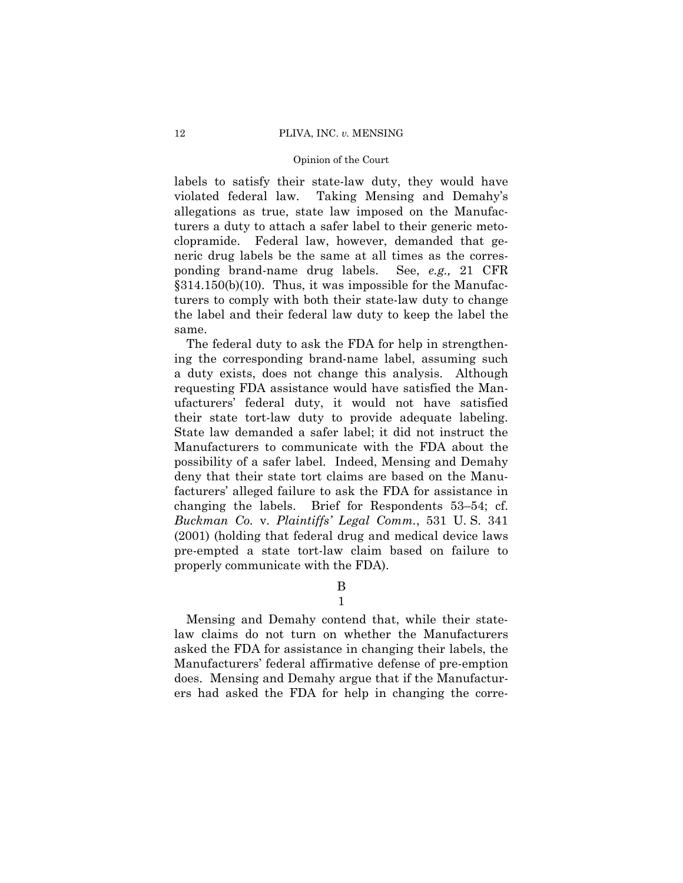labels to satisfy their state-law duty, they would have violated federal law. Taking Mensing and Demahy's allegations as true, state law imposed on the Manufacturers a duty to attach a safer label to their generic metoclopramide. Federal law, however, demanded that generic drug labels be the same at all times as the corresponding brand-name drug labels. See, *e.g.,* 21 CFR §314.150(b)(10). Thus, it was impossible for the Manufacturers to comply with both their state-law duty to change the label and their federal law duty to keep the label the same.

The federal duty to ask the FDA for help in strengthening the corresponding brand-name label, assuming such a duty exists, does not change this analysis. Although requesting FDA assistance would have satisfied the Manufacturers' federal duty, it would not have satisfied their state tort-law duty to provide adequate labeling. State law demanded a safer label; it did not instruct the Manufacturers to communicate with the FDA about the possibility of a safer label. Indeed, Mensing and Demahy deny that their state tort claims are based on the Manufacturers' alleged failure to ask the FDA for assistance in changing the labels. Brief for Respondents 53–54; cf. *Buckman Co.* v. *Plaintiffs' Legal Comm.*, 531 U. S. 341 (2001) (holding that federal drug and medical device laws pre-empted a state tort-law claim based on failure to properly communicate with the FDA).

> B 1

Mensing and Demahy contend that, while their statelaw claims do not turn on whether the Manufacturers asked the FDA for assistance in changing their labels, the Manufacturers' federal affirmative defense of pre-emption does. Mensing and Demahy argue that if the Manufacturers had asked the FDA for help in changing the corre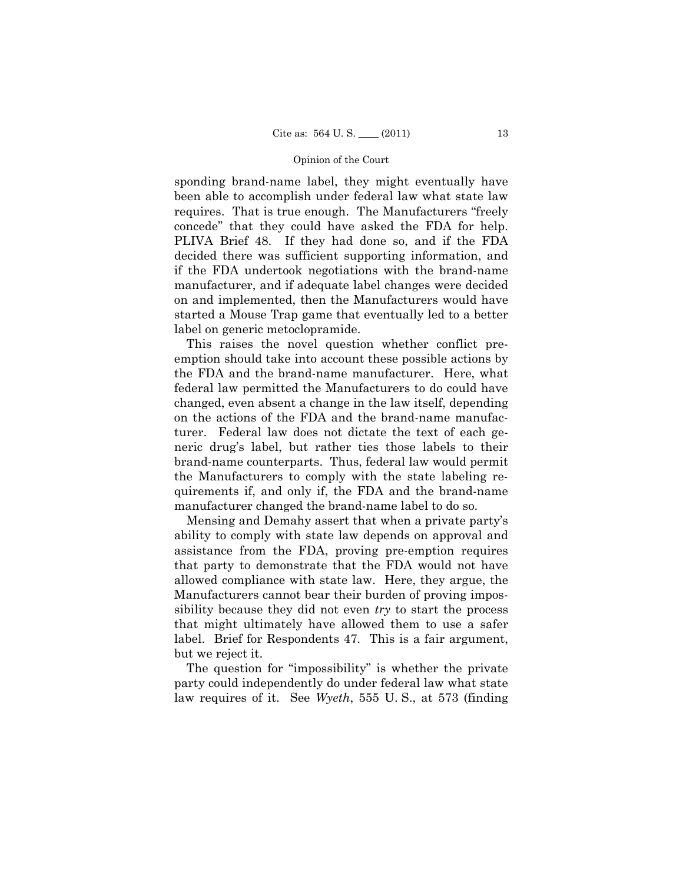sponding brand-name label, they might eventually have been able to accomplish under federal law what state law requires. That is true enough. The Manufacturers "freely concede" that they could have asked the FDA for help. PLIVA Brief 48. If they had done so, and if the FDA decided there was sufficient supporting information, and if the FDA undertook negotiations with the brand-name manufacturer, and if adequate label changes were decided on and implemented, then the Manufacturers would have started a Mouse Trap game that eventually led to a better label on generic metoclopramide.

This raises the novel question whether conflict preemption should take into account these possible actions by the FDA and the brand-name manufacturer. Here, what federal law permitted the Manufacturers to do could have changed, even absent a change in the law itself, depending on the actions of the FDA and the brand-name manufacturer. Federal law does not dictate the text of each generic drug's label, but rather ties those labels to their brand-name counterparts. Thus, federal law would permit the Manufacturers to comply with the state labeling requirements if, and only if, the FDA and the brand-name manufacturer changed the brand-name label to do so.

Mensing and Demahy assert that when a private party's ability to comply with state law depends on approval and assistance from the FDA, proving pre-emption requires that party to demonstrate that the FDA would not have allowed compliance with state law. Here, they argue, the Manufacturers cannot bear their burden of proving impossibility because they did not even *try* to start the process that might ultimately have allowed them to use a safer label. Brief for Respondents 47*.* This is a fair argument, but we reject it.

The question for "impossibility" is whether the private party could independently do under federal law what state law requires of it. See *Wyeth*, 555 U. S., at 573 (finding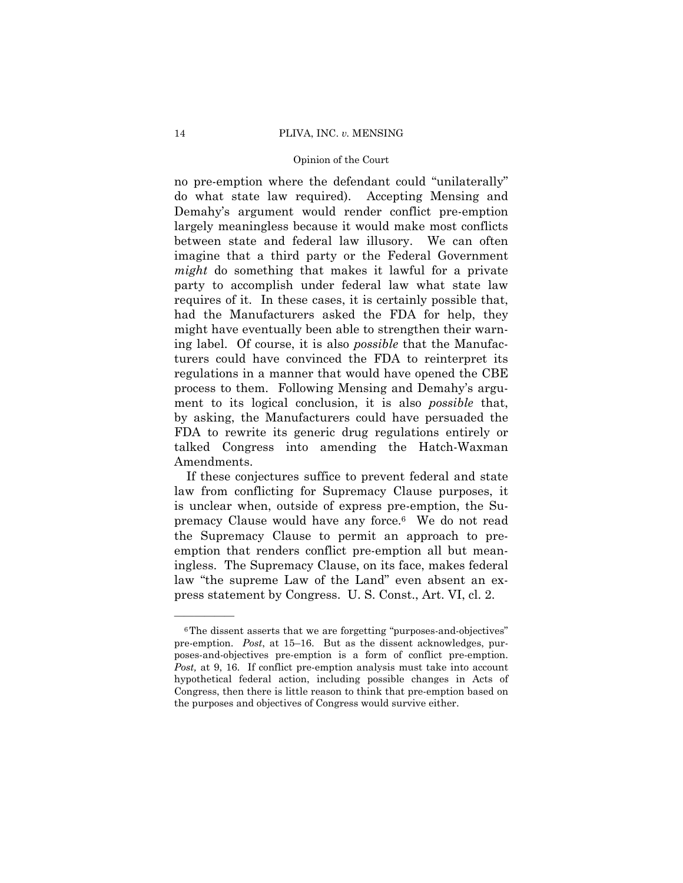no pre-emption where the defendant could "unilaterally" do what state law required). Accepting Mensing and Demahy's argument would render conflict pre-emption largely meaningless because it would make most conflicts between state and federal law illusory. We can often imagine that a third party or the Federal Government *might* do something that makes it lawful for a private party to accomplish under federal law what state law requires of it. In these cases, it is certainly possible that, had the Manufacturers asked the FDA for help, they might have eventually been able to strengthen their warning label. Of course, it is also *possible* that the Manufacturers could have convinced the FDA to reinterpret its regulations in a manner that would have opened the CBE process to them. Following Mensing and Demahy's argument to its logical conclusion, it is also *possible* that, by asking, the Manufacturers could have persuaded the FDA to rewrite its generic drug regulations entirely or talked Congress into amending the Hatch-Waxman Amendments.

If these conjectures suffice to prevent federal and state law from conflicting for Supremacy Clause purposes, it is unclear when, outside of express pre-emption, the Supremacy Clause would have any force.6 We do not read the Supremacy Clause to permit an approach to preemption that renders conflict pre-emption all but meaningless. The Supremacy Clause, on its face, makes federal law "the supreme Law of the Land" even absent an express statement by Congress. U. S. Const., Art. VI, cl. 2.

<sup>&</sup>lt;sup>6</sup>The dissent asserts that we are forgetting "purposes-and-objectives" pre-emption. *Post*, at 15–16. But as the dissent acknowledges, purposes-and-objectives pre-emption is a form of conflict pre-emption. *Post,* at 9, 16. If conflict pre-emption analysis must take into account hypothetical federal action, including possible changes in Acts of Congress, then there is little reason to think that pre-emption based on the purposes and objectives of Congress would survive either.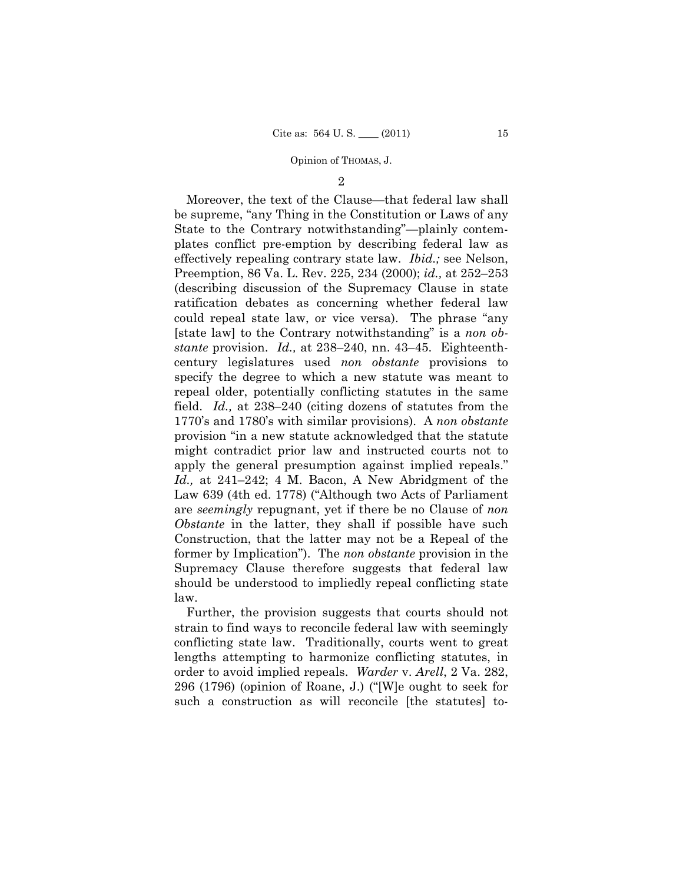#### Opinion of THOMAS, J.

 $\overline{2}$ 

Moreover, the text of the Clause—that federal law shall be supreme, "any Thing in the Constitution or Laws of any State to the Contrary notwithstanding"—plainly contemplates conflict pre-emption by describing federal law as effectively repealing contrary state law. *Ibid.;* see Nelson, Preemption, 86 Va. L. Rev. 225, 234 (2000); *id.,* at 252–253 (describing discussion of the Supremacy Clause in state ratification debates as concerning whether federal law could repeal state law, or vice versa). The phrase "any [state law] to the Contrary notwithstanding" is a *non obstante* provision. *Id.,* at 238–240, nn. 43–45. Eighteenthcentury legislatures used *non obstante* provisions to specify the degree to which a new statute was meant to repeal older, potentially conflicting statutes in the same field. *Id.,* at 238–240 (citing dozens of statutes from the 1770's and 1780's with similar provisions). A *non obstante*  provision "in a new statute acknowledged that the statute might contradict prior law and instructed courts not to apply the general presumption against implied repeals." *Id.,* at 241–242; 4 M. Bacon, A New Abridgment of the Law 639 (4th ed. 1778) ("Although two Acts of Parliament are *seemingly* repugnant, yet if there be no Clause of *non Obstante* in the latter, they shall if possible have such Construction, that the latter may not be a Repeal of the former by Implication"). The *non obstante* provision in the Supremacy Clause therefore suggests that federal law should be understood to impliedly repeal conflicting state law.

Further, the provision suggests that courts should not strain to find ways to reconcile federal law with seemingly conflicting state law. Traditionally, courts went to great lengths attempting to harmonize conflicting statutes, in order to avoid implied repeals. *Warder* v. *Arell*, 2 Va. 282, 296 (1796) (opinion of Roane, J.) ("[W]e ought to seek for such a construction as will reconcile [the statutes] to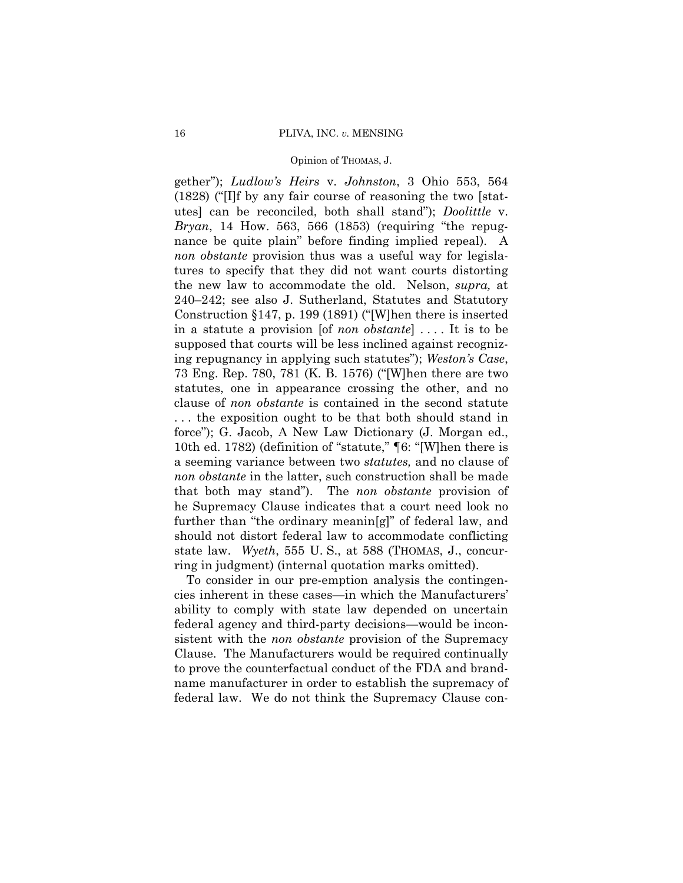#### Opinion of THOMAS, J.

gether"); *Ludlow's Heirs* v. *Johnston*, 3 Ohio 553, 564 (1828) ("[I]f by any fair course of reasoning the two [statutes] can be reconciled, both shall stand"); *Doolittle* v. *Bryan*, 14 How. 563, 566 (1853) (requiring "the repugnance be quite plain" before finding implied repeal). A *non obstante* provision thus was a useful way for legislatures to specify that they did not want courts distorting the new law to accommodate the old. Nelson, *supra,* at 240–242; see also J. Sutherland, Statutes and Statutory Construction §147, p. 199 (1891) ("[W]hen there is inserted in a statute a provision [of *non obstante*] . . . . It is to be supposed that courts will be less inclined against recognizing repugnancy in applying such statutes"); *Weston's Case*, 73 Eng. Rep. 780, 781 (K. B. 1576) ("[W]hen there are two statutes, one in appearance crossing the other, and no clause of *non obstante* is contained in the second statute . . . the exposition ought to be that both should stand in force"); G. Jacob, A New Law Dictionary (J. Morgan ed., 10th ed. 1782) (definition of "statute," ¶6: "[W]hen there is a seeming variance between two *statutes,* and no clause of *non obstante* in the latter, such construction shall be made that both may stand"). The *non obstante* provision of he Supremacy Clause indicates that a court need look no further than "the ordinary meanin[g]" of federal law, and should not distort federal law to accommodate conflicting state law. *Wyeth*, 555 U. S., at 588 (THOMAS, J., concurring in judgment) (internal quotation marks omitted).

To consider in our pre-emption analysis the contingencies inherent in these cases—in which the Manufacturers' ability to comply with state law depended on uncertain federal agency and third-party decisions—would be inconsistent with the *non obstante* provision of the Supremacy Clause. The Manufacturers would be required continually to prove the counterfactual conduct of the FDA and brandname manufacturer in order to establish the supremacy of federal law. We do not think the Supremacy Clause con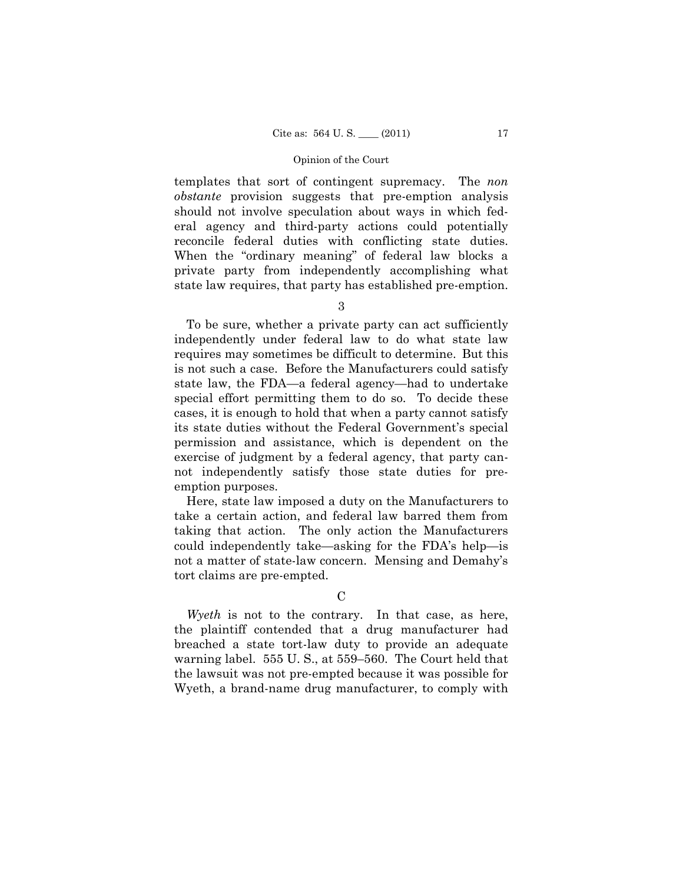templates that sort of contingent supremacy. The *non obstante* provision suggests that pre-emption analysis should not involve speculation about ways in which federal agency and third-party actions could potentially reconcile federal duties with conflicting state duties. When the "ordinary meaning" of federal law blocks a private party from independently accomplishing what state law requires, that party has established pre-emption.

3

To be sure, whether a private party can act sufficiently independently under federal law to do what state law requires may sometimes be difficult to determine. But this is not such a case. Before the Manufacturers could satisfy state law, the FDA—a federal agency—had to undertake special effort permitting them to do so. To decide these cases, it is enough to hold that when a party cannot satisfy its state duties without the Federal Government's special permission and assistance, which is dependent on the exercise of judgment by a federal agency, that party cannot independently satisfy those state duties for preemption purposes.

Here, state law imposed a duty on the Manufacturers to take a certain action, and federal law barred them from taking that action. The only action the Manufacturers could independently take—asking for the FDA's help—is not a matter of state-law concern. Mensing and Demahy's tort claims are pre-empted.

*Wyeth* is not to the contrary. In that case, as here, the plaintiff contended that a drug manufacturer had breached a state tort-law duty to provide an adequate warning label. 555 U. S., at 559–560. The Court held that the lawsuit was not pre-empted because it was possible for Wyeth, a brand-name drug manufacturer, to comply with

 $\mathcal{C}$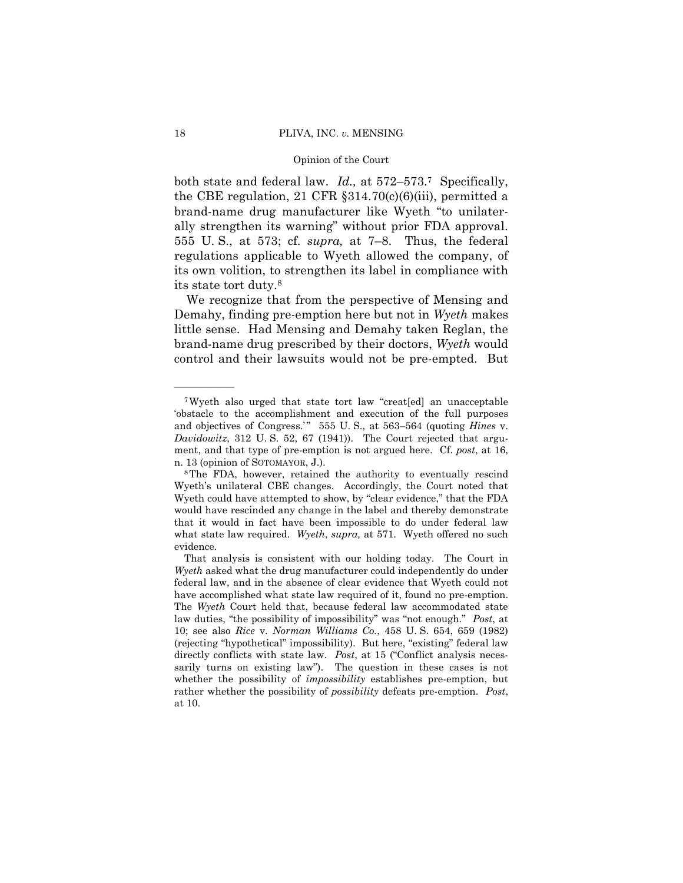both state and federal law. *Id.,* at 572–573.7 Specifically, the CBE regulation, 21 CFR  $\S 314.70(c)(6)(iii)$ , permitted a brand-name drug manufacturer like Wyeth "to unilaterally strengthen its warning" without prior FDA approval. 555 U. S., at 573; cf. *supra,* at 7–8. Thus, the federal regulations applicable to Wyeth allowed the company, of its own volition, to strengthen its label in compliance with its state tort duty.8

We recognize that from the perspective of Mensing and Demahy, finding pre-emption here but not in *Wyeth* makes little sense. Had Mensing and Demahy taken Reglan, the brand-name drug prescribed by their doctors, *Wyeth* would control and their lawsuits would not be pre-empted. But

<sup>7</sup>Wyeth also urged that state tort law "creat[ed] an unacceptable 'obstacle to the accomplishment and execution of the full purposes and objectives of Congress.' " 555 U. S., at 563–564 (quoting *Hines* v. *Davidowitz*, 312 U. S. 52, 67 (1941)). The Court rejected that argument, and that type of pre-emption is not argued here. Cf. *post*, at 16,

n. 13 (opinion of SOTOMAYOR, J.).<br><sup>8</sup>The FDA, however, retained the authority to eventually rescind Wyeth's unilateral CBE changes. Accordingly, the Court noted that Wyeth could have attempted to show, by "clear evidence," that the FDA would have rescinded any change in the label and thereby demonstrate that it would in fact have been impossible to do under federal law what state law required. *Wyeth*, *supra,* at 571. Wyeth offered no such evidence.

That analysis is consistent with our holding today. The Court in *Wyeth* asked what the drug manufacturer could independently do under federal law, and in the absence of clear evidence that Wyeth could not have accomplished what state law required of it, found no pre-emption. The *Wyeth* Court held that, because federal law accommodated state law duties, "the possibility of impossibility" was "not enough." *Post*, at 10; see also *Rice* v. *Norman Williams Co.*, 458 U. S. 654, 659 (1982) (rejecting "hypothetical" impossibility). But here, "existing" federal law directly conflicts with state law. *Post*, at 15 ("Conflict analysis necessarily turns on existing law"). The question in these cases is not whether the possibility of *impossibility* establishes pre-emption, but rather whether the possibility of *possibility* defeats pre-emption. *Post*, at 10.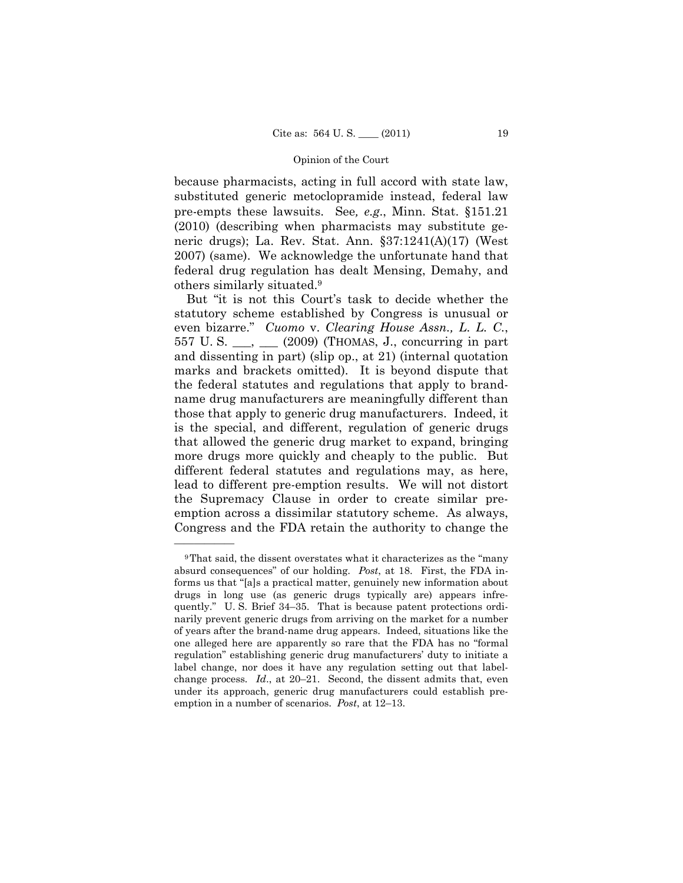because pharmacists, acting in full accord with state law, substituted generic metoclopramide instead, federal law pre-empts these lawsuits. See*, e.g*., Minn. Stat. §151.21 (2010) (describing when pharmacists may substitute generic drugs); La. Rev. Stat. Ann. §37:1241(A)(17) (West 2007) (same). We acknowledge the unfortunate hand that federal drug regulation has dealt Mensing, Demahy, and others similarly situated.9

But "it is not this Court's task to decide whether the statutory scheme established by Congress is unusual or even bizarre." *Cuomo* v. *Clearing House Assn., L. L. C.*, 557 U. S. \_\_\_, \_\_\_ (2009) (THOMAS, J., concurring in part and dissenting in part) (slip op., at 21) (internal quotation marks and brackets omitted). It is beyond dispute that the federal statutes and regulations that apply to brandname drug manufacturers are meaningfully different than those that apply to generic drug manufacturers. Indeed, it is the special, and different, regulation of generic drugs that allowed the generic drug market to expand, bringing more drugs more quickly and cheaply to the public. But different federal statutes and regulations may, as here, lead to different pre-emption results. We will not distort the Supremacy Clause in order to create similar preemption across a dissimilar statutory scheme. As always, Congress and the FDA retain the authority to change the

<sup>9</sup>That said, the dissent overstates what it characterizes as the "many absurd consequences" of our holding. *Post*, at 18. First, the FDA informs us that "[a]s a practical matter, genuinely new information about drugs in long use (as generic drugs typically are) appears infrequently." U. S. Brief 34–35. That is because patent protections ordinarily prevent generic drugs from arriving on the market for a number of years after the brand-name drug appears. Indeed, situations like the one alleged here are apparently so rare that the FDA has no "formal regulation" establishing generic drug manufacturers' duty to initiate a label change, nor does it have any regulation setting out that labelchange process*. Id*., at 20–21. Second, the dissent admits that, even under its approach, generic drug manufacturers could establish preemption in a number of scenarios. *Post*, at 12–13.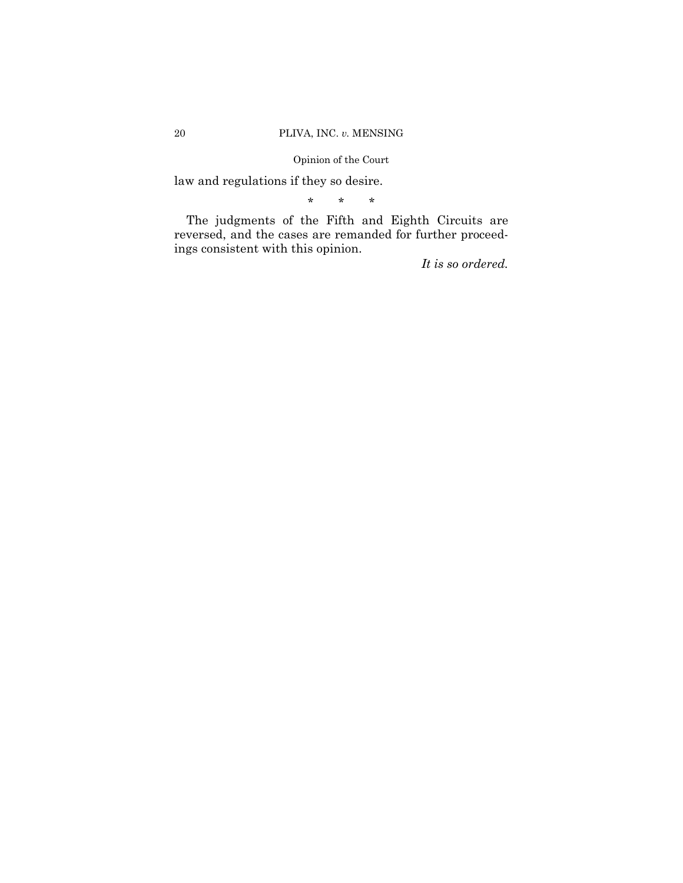law and regulations if they so desire.

\* \* \*

The judgments of the Fifth and Eighth Circuits are reversed, and the cases are remanded for further proceedings consistent with this opinion.

*It is so ordered.*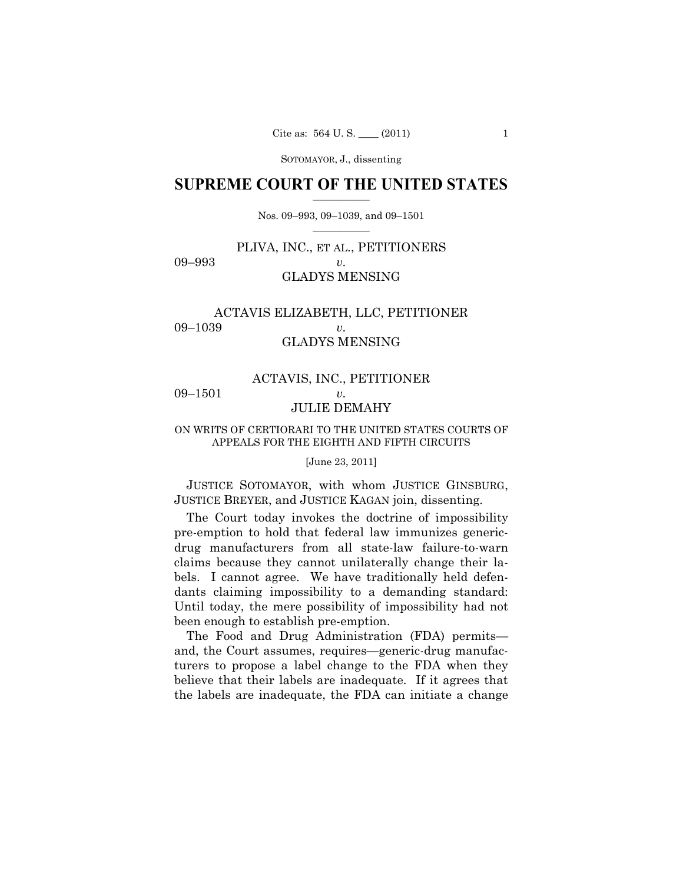### $\frac{1}{2}$  ,  $\frac{1}{2}$  ,  $\frac{1}{2}$  ,  $\frac{1}{2}$  ,  $\frac{1}{2}$  ,  $\frac{1}{2}$  ,  $\frac{1}{2}$ **SUPREME COURT OF THE UNITED STATES**

 $\frac{1}{2}$  ,  $\frac{1}{2}$  ,  $\frac{1}{2}$  ,  $\frac{1}{2}$  ,  $\frac{1}{2}$  ,  $\frac{1}{2}$ Nos. 09–993, 09–1039, and 09–1501

## PLIVA, INC., ET AL., PETITIONERS 09–993 *v.*  GLADYS MENSING

## ACTAVIS ELIZABETH, LLC, PETITIONER 09–1039 *v.*  GLADYS MENSING

## ACTAVIS, INC., PETITIONER 09–1501 *v.*  JULIE DEMAHY

### ON WRITS OF CERTIORARI TO THE UNITED STATES COURTS OF APPEALS FOR THE EIGHTH AND FIFTH CIRCUITS

[June 23, 2011]

JUSTICE SOTOMAYOR, with whom JUSTICE GINSBURG, JUSTICE BREYER, and JUSTICE KAGAN join, dissenting.

The Court today invokes the doctrine of impossibility pre-emption to hold that federal law immunizes genericdrug manufacturers from all state-law failure-to-warn claims because they cannot unilaterally change their labels. I cannot agree. We have traditionally held defendants claiming impossibility to a demanding standard: Until today, the mere possibility of impossibility had not been enough to establish pre-emption.

The Food and Drug Administration (FDA) permits and, the Court assumes, requires—generic-drug manufacturers to propose a label change to the FDA when they believe that their labels are inadequate. If it agrees that the labels are inadequate, the FDA can initiate a change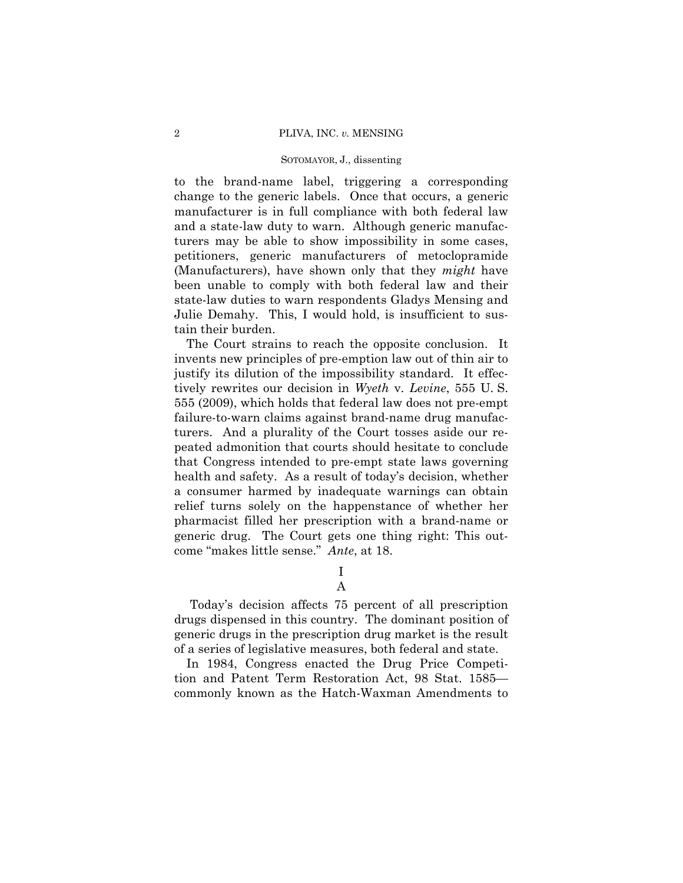to the brand-name label, triggering a corresponding change to the generic labels. Once that occurs, a generic manufacturer is in full compliance with both federal law and a state-law duty to warn. Although generic manufacturers may be able to show impossibility in some cases, petitioners, generic manufacturers of metoclopramide (Manufacturers), have shown only that they *might* have been unable to comply with both federal law and their state-law duties to warn respondents Gladys Mensing and Julie Demahy. This, I would hold, is insufficient to sustain their burden.

The Court strains to reach the opposite conclusion. It invents new principles of pre-emption law out of thin air to justify its dilution of the impossibility standard. It effectively rewrites our decision in *Wyeth* v. *Levine*, 555 U. S. 555 (2009), which holds that federal law does not pre-empt failure-to-warn claims against brand-name drug manufacturers. And a plurality of the Court tosses aside our repeated admonition that courts should hesitate to conclude that Congress intended to pre-empt state laws governing health and safety. As a result of today's decision, whether a consumer harmed by inadequate warnings can obtain relief turns solely on the happenstance of whether her pharmacist filled her prescription with a brand-name or generic drug. The Court gets one thing right: This outcome "makes little sense." *Ante*, at 18.

> I A

Today's decision affects 75 percent of all prescription drugs dispensed in this country. The dominant position of generic drugs in the prescription drug market is the result of a series of legislative measures, both federal and state.

In 1984, Congress enacted the Drug Price Competition and Patent Term Restoration Act, 98 Stat. 1585 commonly known as the Hatch-Waxman Amendments to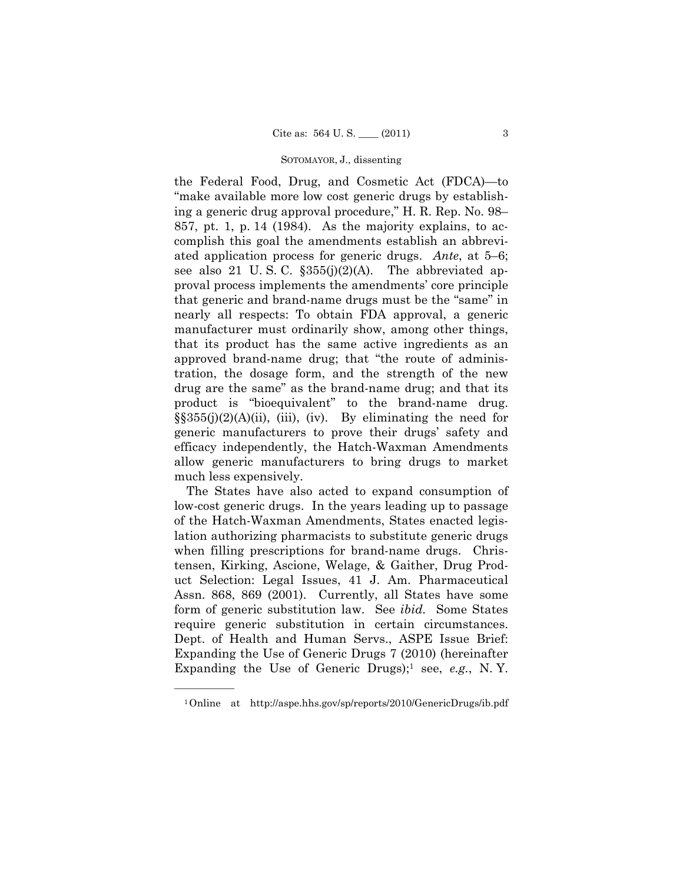the Federal Food, Drug, and Cosmetic Act (FDCA)—to "make available more low cost generic drugs by establishing a generic drug approval procedure," H. R. Rep. No. 98– 857, pt. 1, p. 14 (1984). As the majority explains, to accomplish this goal the amendments establish an abbreviated application process for generic drugs. *Ante*, at 5–6; see also 21 U.S.C.  $\S 355(j)(2)(A)$ . The abbreviated approval process implements the amendments' core principle that generic and brand-name drugs must be the "same" in nearly all respects: To obtain FDA approval, a generic manufacturer must ordinarily show, among other things, that its product has the same active ingredients as an approved brand-name drug; that "the route of administration, the dosage form, and the strength of the new drug are the same" as the brand-name drug; and that its product is "bioequivalent" to the brand-name drug.  $\S$ §355(j)(2)(A)(ii), (iii), (iv). By eliminating the need for generic manufacturers to prove their drugs' safety and efficacy independently, the Hatch-Waxman Amendments allow generic manufacturers to bring drugs to market much less expensively.

The States have also acted to expand consumption of low-cost generic drugs. In the years leading up to passage of the Hatch-Waxman Amendments, States enacted legislation authorizing pharmacists to substitute generic drugs when filling prescriptions for brand-name drugs. Christensen, Kirking, Ascione, Welage, & Gaither, Drug Product Selection: Legal Issues, 41 J. Am. Pharmaceutical Assn. 868, 869 (2001). Currently, all States have some form of generic substitution law. See *ibid.* Some States require generic substitution in certain circumstances. Dept. of Health and Human Servs., ASPE Issue Brief: Expanding the Use of Generic Drugs 7 (2010) (hereinafter Expanding the Use of Generic Drugs);1 see, *e.g.*, N. Y.

<sup>1</sup>Online at http://aspe.hhs.gov/sp/reports/2010/GenericDrugs/ib.pdf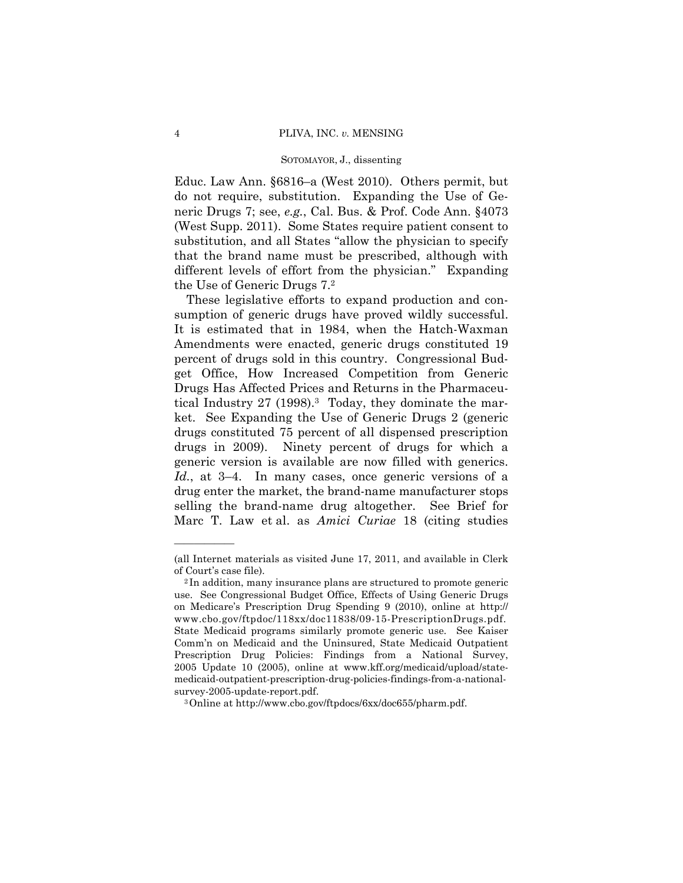Educ. Law Ann. §6816–a (West 2010). Others permit, but do not require, substitution. Expanding the Use of Generic Drugs 7; see, *e.g.*, Cal. Bus. & Prof. Code Ann. §4073 (West Supp. 2011). Some States require patient consent to substitution, and all States "allow the physician to specify that the brand name must be prescribed, although with different levels of effort from the physician." Expanding the Use of Generic Drugs 7.2

These legislative efforts to expand production and consumption of generic drugs have proved wildly successful. It is estimated that in 1984, when the Hatch-Waxman Amendments were enacted, generic drugs constituted 19 percent of drugs sold in this country. Congressional Budget Office, How Increased Competition from Generic Drugs Has Affected Prices and Returns in the Pharmaceutical Industry 27 (1998).<sup>3</sup> Today, they dominate the market. See Expanding the Use of Generic Drugs 2 (generic drugs constituted 75 percent of all dispensed prescription drugs in 2009). Ninety percent of drugs for which a generic version is available are now filled with generics. *Id.*, at 3–4. In many cases, once generic versions of a drug enter the market, the brand-name manufacturer stops selling the brand-name drug altogether. See Brief for Marc T. Law et al. as *Amici Curiae* 18 (citing studies

<sup>(</sup>all Internet materials as visited June 17, 2011, and available in Clerk of Court's case file). 2 In addition, many insurance plans are structured to promote generic

use. See Congressional Budget Office, Effects of Using Generic Drugs on Medicare's Prescription Drug Spending 9 (2010), online at http:// www.cbo.gov/ftpdoc/118xx/doc11838/09-15-PrescriptionDrugs.pdf. State Medicaid programs similarly promote generic use. See Kaiser Comm'n on Medicaid and the Uninsured, State Medicaid Outpatient Prescription Drug Policies: Findings from a National Survey, 2005 Update 10 (2005), online at www.kff.org/medicaid/upload/statemedicaid-outpatient-prescription-drug-policies-findings-from-a-nationalsurvey-2005-update-report.pdf. 3Online at http://www.cbo.gov/ftpdocs/6xx/doc655/pharm.pdf.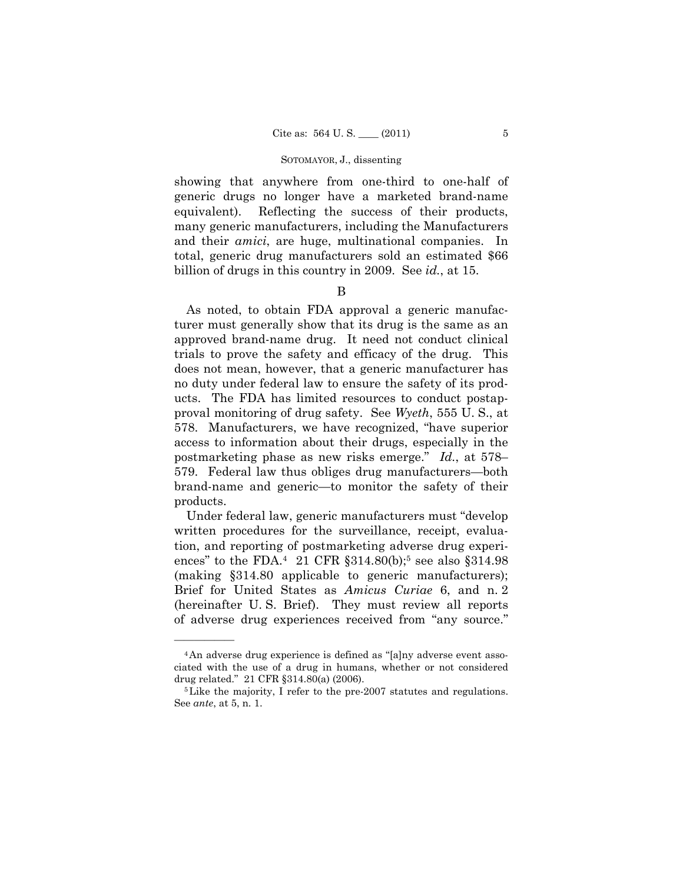showing that anywhere from one-third to one-half of generic drugs no longer have a marketed brand-name equivalent). Reflecting the success of their products, many generic manufacturers, including the Manufacturers and their *amici*, are huge, multinational companies. In total, generic drug manufacturers sold an estimated \$66 billion of drugs in this country in 2009. See *id.*, at 15.

#### B

As noted, to obtain FDA approval a generic manufacturer must generally show that its drug is the same as an approved brand-name drug. It need not conduct clinical trials to prove the safety and efficacy of the drug. This does not mean, however, that a generic manufacturer has no duty under federal law to ensure the safety of its products. The FDA has limited resources to conduct postapproval monitoring of drug safety. See *Wyeth*, 555 U. S., at 578. Manufacturers, we have recognized, "have superior access to information about their drugs, especially in the postmarketing phase as new risks emerge." *Id.*, at 578– 579. Federal law thus obliges drug manufacturers—both brand-name and generic—to monitor the safety of their products.

Under federal law, generic manufacturers must "develop written procedures for the surveillance, receipt, evaluation, and reporting of postmarketing adverse drug experiences" to the FDA.<sup>4</sup> 21 CFR  $\S 314.80(b)$ ;<sup>5</sup> see also  $\S 314.98$ (making §314.80 applicable to generic manufacturers); Brief for United States as *Amicus Curiae* 6, and n. 2 (hereinafter U. S. Brief). They must review all reports of adverse drug experiences received from "any source."

<sup>4</sup>An adverse drug experience is defined as "[a]ny adverse event associated with the use of a drug in humans, whether or not considered drug related." 21 CFR §314.80(a) (2006).<br><sup>5</sup>Like the majority, I refer to the pre-2007 statutes and regulations.

See *ante*, at 5, n. 1.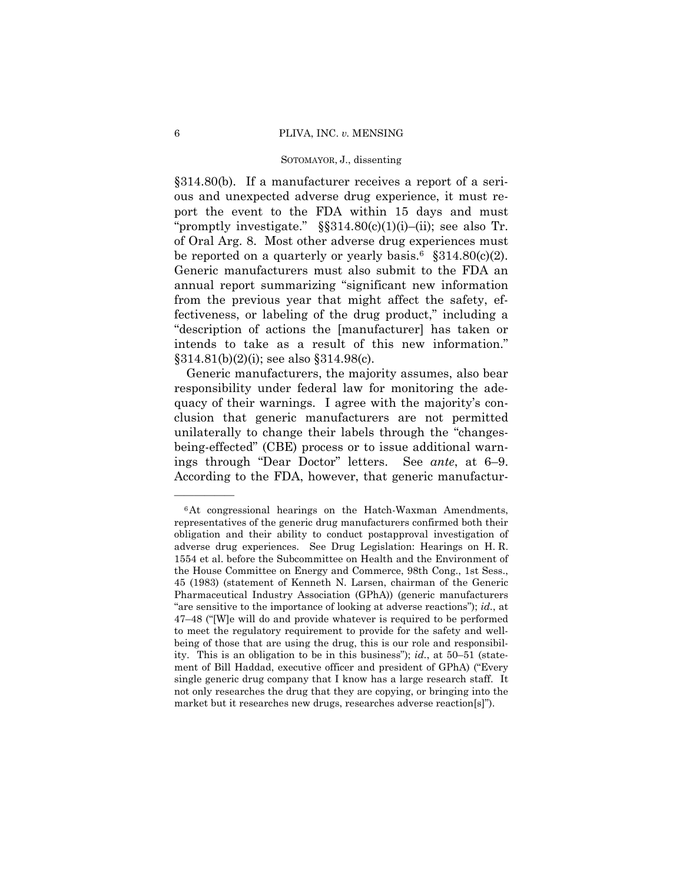§314.80(b). If a manufacturer receives a report of a serious and unexpected adverse drug experience, it must report the event to the FDA within 15 days and must "promptly investigate."  $\S$ §314.80(c)(1)(i)–(ii); see also Tr. of Oral Arg. 8. Most other adverse drug experiences must be reported on a quarterly or yearly basis.<sup>6</sup>  $\S 314.80(c)(2)$ . Generic manufacturers must also submit to the FDA an annual report summarizing "significant new information from the previous year that might affect the safety, effectiveness, or labeling of the drug product," including a "description of actions the [manufacturer] has taken or intends to take as a result of this new information."  $§314.81(b)(2)(i);$  see also  $§314.98(c).$ 

Generic manufacturers, the majority assumes, also bear responsibility under federal law for monitoring the adequacy of their warnings. I agree with the majority's conclusion that generic manufacturers are not permitted unilaterally to change their labels through the "changesbeing-effected" (CBE) process or to issue additional warnings through "Dear Doctor" letters. See *ante*, at 6–9. According to the FDA, however, that generic manufactur-

<sup>&</sup>lt;sup>6</sup>At congressional hearings on the Hatch-Waxman Amendments, representatives of the generic drug manufacturers confirmed both their obligation and their ability to conduct postapproval investigation of adverse drug experiences. See Drug Legislation: Hearings on H. R. 1554 et al. before the Subcommittee on Health and the Environment of the House Committee on Energy and Commerce, 98th Cong., 1st Sess., 45 (1983) (statement of Kenneth N. Larsen, chairman of the Generic Pharmaceutical Industry Association (GPhA)) (generic manufacturers "are sensitive to the importance of looking at adverse reactions"); *id.*, at 47–48 ("[W]e will do and provide whatever is required to be performed to meet the regulatory requirement to provide for the safety and wellbeing of those that are using the drug, this is our role and responsibility. This is an obligation to be in this business"); *id.*, at 50–51 (statement of Bill Haddad, executive officer and president of GPhA) ("Every single generic drug company that I know has a large research staff. It not only researches the drug that they are copying, or bringing into the market but it researches new drugs, researches adverse reaction[s]").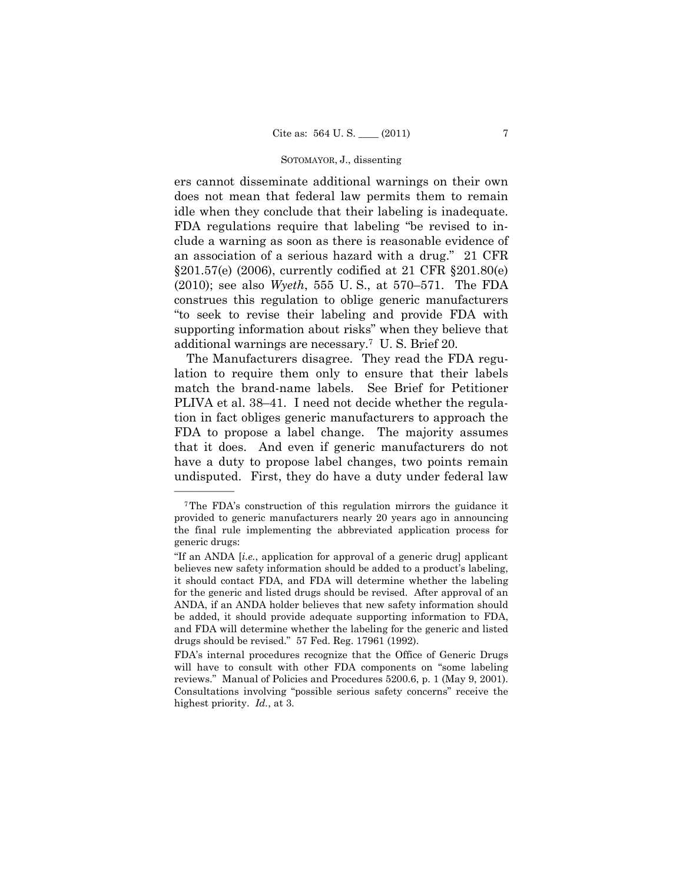ers cannot disseminate additional warnings on their own does not mean that federal law permits them to remain idle when they conclude that their labeling is inadequate. FDA regulations require that labeling "be revised to include a warning as soon as there is reasonable evidence of an association of a serious hazard with a drug." 21 CFR §201.57(e) (2006), currently codified at 21 CFR §201.80(e) (2010); see also *Wyeth*, 555 U. S., at 570–571. The FDA construes this regulation to oblige generic manufacturers "to seek to revise their labeling and provide FDA with supporting information about risks" when they believe that additional warnings are necessary.7 U. S. Brief 20.

The Manufacturers disagree. They read the FDA regulation to require them only to ensure that their labels match the brand-name labels. See Brief for Petitioner PLIVA et al. 38–41. I need not decide whether the regulation in fact obliges generic manufacturers to approach the FDA to propose a label change. The majority assumes that it does. And even if generic manufacturers do not have a duty to propose label changes, two points remain undisputed. First, they do have a duty under federal law

<sup>7</sup>The FDA's construction of this regulation mirrors the guidance it provided to generic manufacturers nearly 20 years ago in announcing the final rule implementing the abbreviated application process for generic drugs:

<sup>&</sup>quot;If an ANDA [*i.e.*, application for approval of a generic drug] applicant believes new safety information should be added to a product's labeling, it should contact FDA, and FDA will determine whether the labeling for the generic and listed drugs should be revised. After approval of an ANDA, if an ANDA holder believes that new safety information should be added, it should provide adequate supporting information to FDA, and FDA will determine whether the labeling for the generic and listed drugs should be revised." 57 Fed. Reg. 17961 (1992).

FDA's internal procedures recognize that the Office of Generic Drugs will have to consult with other FDA components on "some labeling reviews." Manual of Policies and Procedures 5200.6, p. 1 (May 9, 2001). Consultations involving "possible serious safety concerns" receive the highest priority. *Id.*, at 3.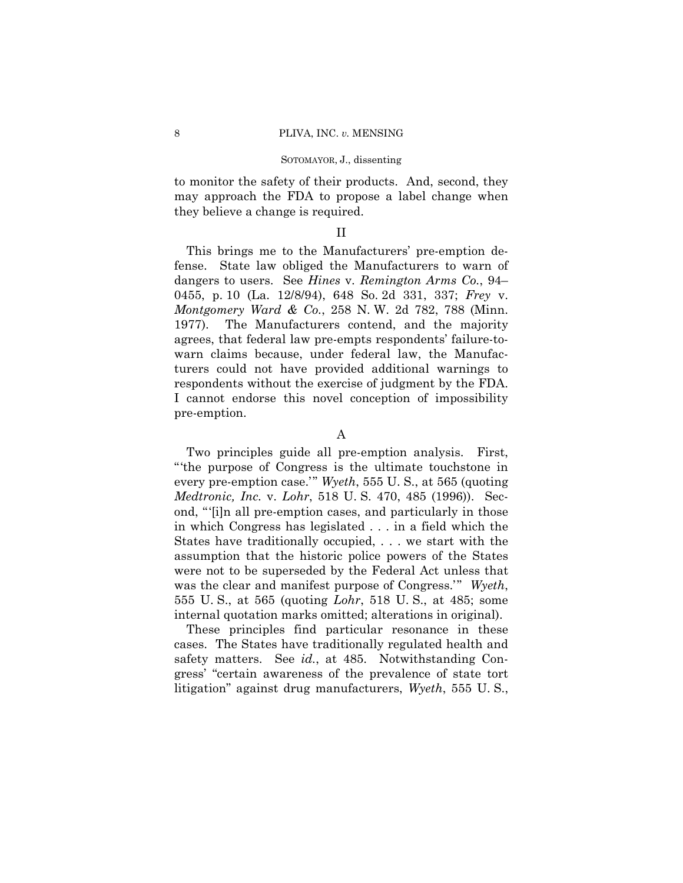to monitor the safety of their products. And, second, they may approach the FDA to propose a label change when they believe a change is required.

## II

This brings me to the Manufacturers' pre-emption defense. State law obliged the Manufacturers to warn of dangers to users. See *Hines* v. *Remington Arms Co.*, 94– 0455, p. 10 (La. 12/8/94), 648 So. 2d 331, 337; *Frey* v. *Montgomery Ward & Co.*, 258 N. W. 2d 782, 788 (Minn. 1977). The Manufacturers contend, and the majority agrees, that federal law pre-empts respondents' failure-towarn claims because, under federal law, the Manufacturers could not have provided additional warnings to respondents without the exercise of judgment by the FDA. I cannot endorse this novel conception of impossibility pre-emption.

Two principles guide all pre-emption analysis. First, "'the purpose of Congress is the ultimate touchstone in every pre-emption case.'" *Wyeth*, 555 U. S., at 565 (quoting *Medtronic, Inc.* v. *Lohr*, 518 U. S. 470, 485 (1996)). Second, "'[i]n all pre-emption cases, and particularly in those in which Congress has legislated . . . in a field which the States have traditionally occupied, . . . we start with the assumption that the historic police powers of the States were not to be superseded by the Federal Act unless that was the clear and manifest purpose of Congress.'" *Wyeth*, 555 U. S., at 565 (quoting *Lohr*, 518 U. S., at 485; some internal quotation marks omitted; alterations in original).

These principles find particular resonance in these cases. The States have traditionally regulated health and safety matters. See *id.*, at 485. Notwithstanding Congress' "certain awareness of the prevalence of state tort litigation" against drug manufacturers, *Wyeth*, 555 U. S.,

A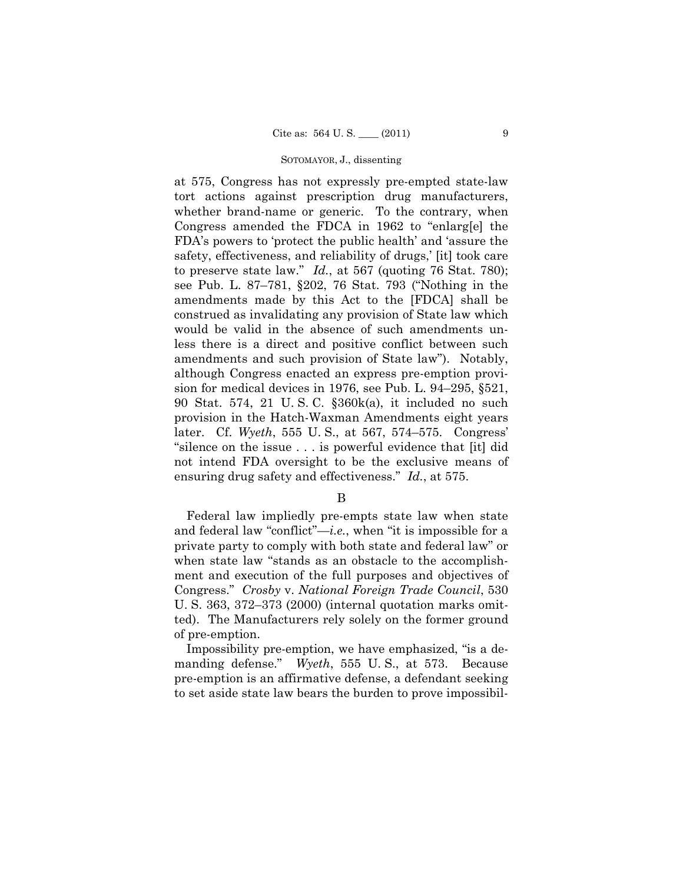at 575, Congress has not expressly pre-empted state-law tort actions against prescription drug manufacturers, whether brand-name or generic. To the contrary, when Congress amended the FDCA in 1962 to "enlarg[e] the FDA's powers to 'protect the public health' and 'assure the safety, effectiveness, and reliability of drugs,' [it] took care to preserve state law." *Id.*, at 567 (quoting 76 Stat. 780); see Pub. L. 87–781, §202, 76 Stat. 793 ("Nothing in the amendments made by this Act to the [FDCA] shall be construed as invalidating any provision of State law which would be valid in the absence of such amendments unless there is a direct and positive conflict between such amendments and such provision of State law"). Notably, although Congress enacted an express pre-emption provision for medical devices in 1976, see Pub. L. 94–295, §521, 90 Stat. 574, 21 U. S. C. §360k(a), it included no such provision in the Hatch-Waxman Amendments eight years later. Cf. *Wyeth*, 555 U. S., at 567, 574–575. Congress' "silence on the issue . . . is powerful evidence that [it] did not intend FDA oversight to be the exclusive means of ensuring drug safety and effectiveness." *Id.*, at 575.

## B

Federal law impliedly pre-empts state law when state and federal law "conflict"—*i.e.*, when "it is impossible for a private party to comply with both state and federal law" or when state law "stands as an obstacle to the accomplishment and execution of the full purposes and objectives of Congress." *Crosby* v. *National Foreign Trade Council*, 530 U. S. 363, 372–373 (2000) (internal quotation marks omitted). The Manufacturers rely solely on the former ground of pre-emption.

Impossibility pre-emption, we have emphasized, "is a demanding defense." *Wyeth*, 555 U. S., at 573. Because pre-emption is an affirmative defense, a defendant seeking to set aside state law bears the burden to prove impossibil-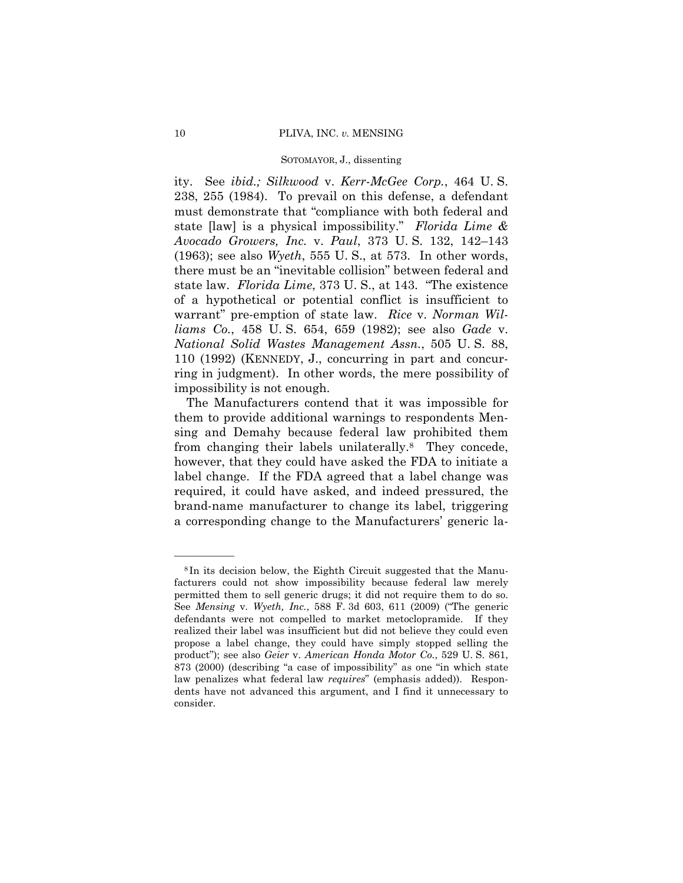ity. See *ibid.; Silkwood* v. *Kerr-McGee Corp.*, 464 U. S. 238, 255 (1984). To prevail on this defense, a defendant must demonstrate that "compliance with both federal and state [law] is a physical impossibility." *Florida Lime & Avocado Growers, Inc.* v. *Paul*, 373 U. S. 132, 142–143 (1963); see also *Wyeth*, 555 U. S., at 573. In other words, there must be an "inevitable collision" between federal and state law. *Florida Lime*, 373 U. S., at 143. "The existence of a hypothetical or potential conflict is insufficient to warrant" pre-emption of state law. *Rice* v. *Norman Williams Co.*, 458 U. S. 654, 659 (1982); see also *Gade* v. *National Solid Wastes Management Assn.*, 505 U. S. 88, 110 (1992) (KENNEDY, J., concurring in part and concurring in judgment). In other words, the mere possibility of impossibility is not enough.

The Manufacturers contend that it was impossible for them to provide additional warnings to respondents Mensing and Demahy because federal law prohibited them from changing their labels unilaterally.8 They concede, however, that they could have asked the FDA to initiate a label change. If the FDA agreed that a label change was required, it could have asked, and indeed pressured, the brand-name manufacturer to change its label, triggering a corresponding change to the Manufacturers' generic la-

<sup>8</sup> In its decision below, the Eighth Circuit suggested that the Manufacturers could not show impossibility because federal law merely permitted them to sell generic drugs; it did not require them to do so. See *Mensing* v. *Wyeth, Inc.*, 588 F. 3d 603, 611 (2009) ("The generic defendants were not compelled to market metoclopramide. If they realized their label was insufficient but did not believe they could even propose a label change, they could have simply stopped selling the product"); see also *Geier* v. *American Honda Motor Co.*, 529 U. S. 861, 873 (2000) (describing "a case of impossibility" as one "in which state law penalizes what federal law *requires*" (emphasis added)). Respondents have not advanced this argument, and I find it unnecessary to consider.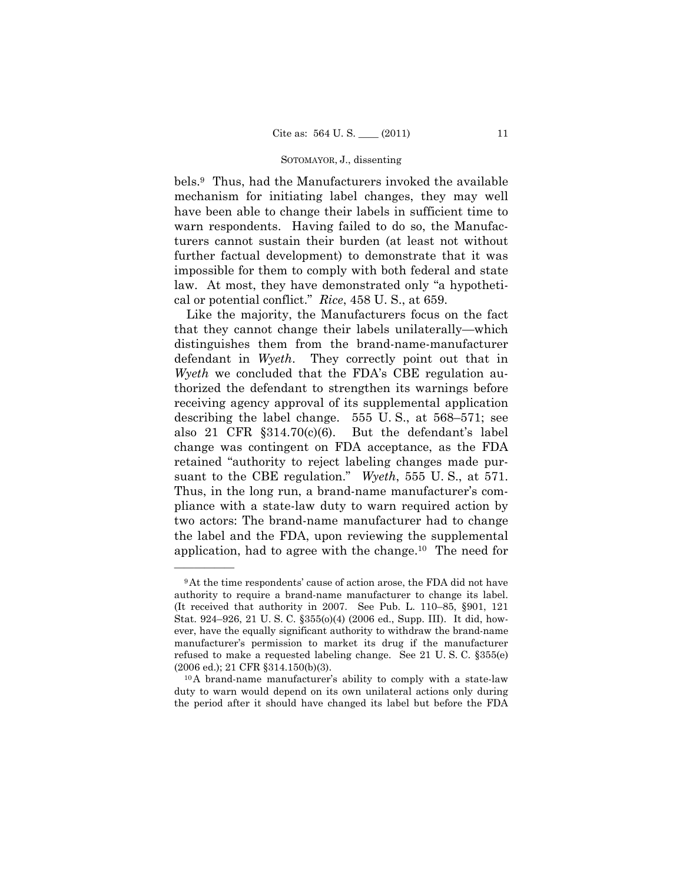bels.9 Thus, had the Manufacturers invoked the available mechanism for initiating label changes, they may well have been able to change their labels in sufficient time to warn respondents. Having failed to do so, the Manufacturers cannot sustain their burden (at least not without further factual development) to demonstrate that it was impossible for them to comply with both federal and state law. At most, they have demonstrated only "a hypothetical or potential conflict." *Rice*, 458 U. S., at 659.

Like the majority, the Manufacturers focus on the fact that they cannot change their labels unilaterally—which distinguishes them from the brand-name-manufacturer defendant in *Wyeth*. They correctly point out that in *Wyeth* we concluded that the FDA's CBE regulation authorized the defendant to strengthen its warnings before receiving agency approval of its supplemental application describing the label change. 555 U. S., at 568–571; see also 21 CFR §314.70(c)(6). But the defendant's label change was contingent on FDA acceptance, as the FDA retained "authority to reject labeling changes made pursuant to the CBE regulation." *Wyeth*, 555 U. S., at 571. Thus, in the long run, a brand-name manufacturer's compliance with a state-law duty to warn required action by two actors: The brand-name manufacturer had to change the label and the FDA, upon reviewing the supplemental application, had to agree with the change.10 The need for

<sup>9</sup>At the time respondents' cause of action arose, the FDA did not have authority to require a brand-name manufacturer to change its label. (It received that authority in 2007. See Pub. L. 110–85, §901, 121 Stat. 924–926, 21 U. S. C. §355(o)(4) (2006 ed., Supp. III). It did, however, have the equally significant authority to withdraw the brand-name manufacturer's permission to market its drug if the manufacturer refused to make a requested labeling change. See 21 U. S. C. §355(e) (2006 ed.); 21 CFR §314.150(b)(3). <sup>10</sup>A brand-name manufacturer's ability to comply with a state-law

duty to warn would depend on its own unilateral actions only during the period after it should have changed its label but before the FDA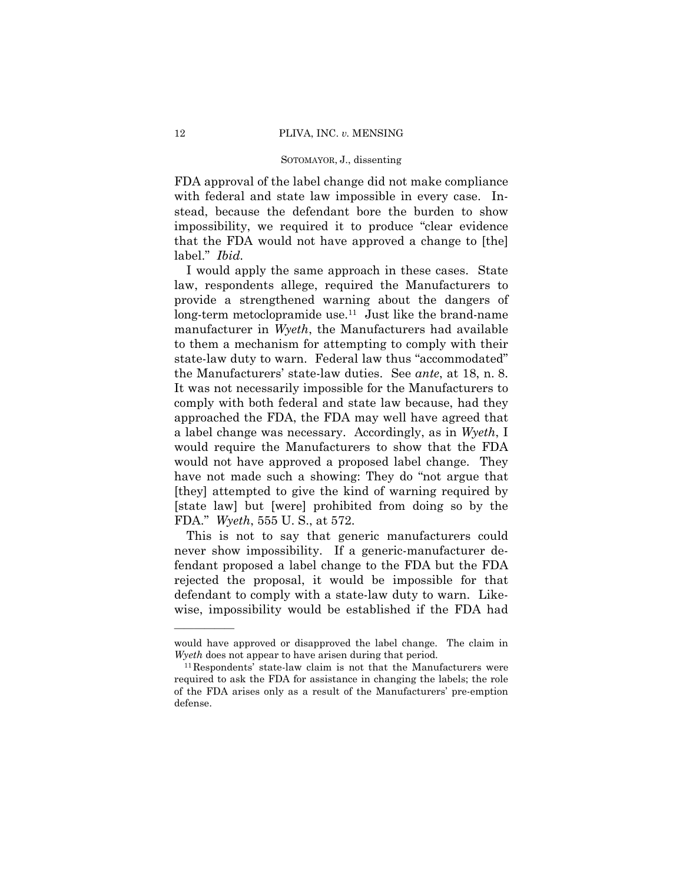FDA approval of the label change did not make compliance with federal and state law impossible in every case. Instead, because the defendant bore the burden to show impossibility, we required it to produce "clear evidence that the FDA would not have approved a change to [the] label." *Ibid.* 

I would apply the same approach in these cases. State law, respondents allege, required the Manufacturers to provide a strengthened warning about the dangers of long-term metoclopramide use.<sup>11</sup> Just like the brand-name manufacturer in *Wyeth*, the Manufacturers had available to them a mechanism for attempting to comply with their state-law duty to warn. Federal law thus "accommodated" the Manufacturers' state-law duties. See *ante*, at 18, n. 8. It was not necessarily impossible for the Manufacturers to comply with both federal and state law because, had they approached the FDA, the FDA may well have agreed that a label change was necessary. Accordingly, as in *Wyeth*, I would require the Manufacturers to show that the FDA would not have approved a proposed label change. They have not made such a showing: They do "not argue that [they] attempted to give the kind of warning required by [state law] but [were] prohibited from doing so by the FDA." *Wyeth*, 555 U. S., at 572.

This is not to say that generic manufacturers could never show impossibility. If a generic-manufacturer defendant proposed a label change to the FDA but the FDA rejected the proposal, it would be impossible for that defendant to comply with a state-law duty to warn. Likewise, impossibility would be established if the FDA had

would have approved or disapproved the label change. The claim in *Wyeth* does not appear to have arisen during that period.  $11$ Respondents' state-law claim is not that the Manufacturers were

required to ask the FDA for assistance in changing the labels; the role of the FDA arises only as a result of the Manufacturers' pre-emption defense.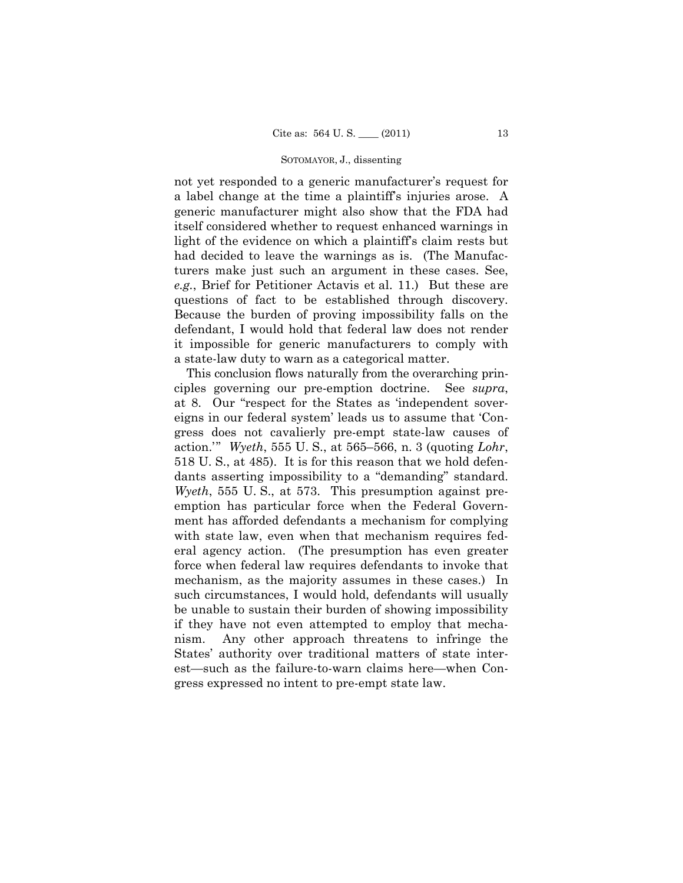not yet responded to a generic manufacturer's request for a label change at the time a plaintiff's injuries arose. A generic manufacturer might also show that the FDA had itself considered whether to request enhanced warnings in light of the evidence on which a plaintiff's claim rests but had decided to leave the warnings as is. (The Manufacturers make just such an argument in these cases. See, *e.g.*, Brief for Petitioner Actavis et al. 11.) But these are questions of fact to be established through discovery. Because the burden of proving impossibility falls on the defendant, I would hold that federal law does not render it impossible for generic manufacturers to comply with a state-law duty to warn as a categorical matter.

This conclusion flows naturally from the overarching principles governing our pre-emption doctrine. See *supra*, at 8. Our "respect for the States as 'independent sovereigns in our federal system' leads us to assume that 'Congress does not cavalierly pre-empt state-law causes of action.'" *Wyeth*, 555 U. S., at 565–566, n. 3 (quoting *Lohr*, 518 U. S., at 485). It is for this reason that we hold defendants asserting impossibility to a "demanding" standard. *Wyeth*, 555 U. S., at 573. This presumption against preemption has particular force when the Federal Government has afforded defendants a mechanism for complying with state law, even when that mechanism requires federal agency action. (The presumption has even greater force when federal law requires defendants to invoke that mechanism, as the majority assumes in these cases.) In such circumstances, I would hold, defendants will usually be unable to sustain their burden of showing impossibility if they have not even attempted to employ that mechanism. Any other approach threatens to infringe the States' authority over traditional matters of state interest—such as the failure-to-warn claims here—when Congress expressed no intent to pre-empt state law.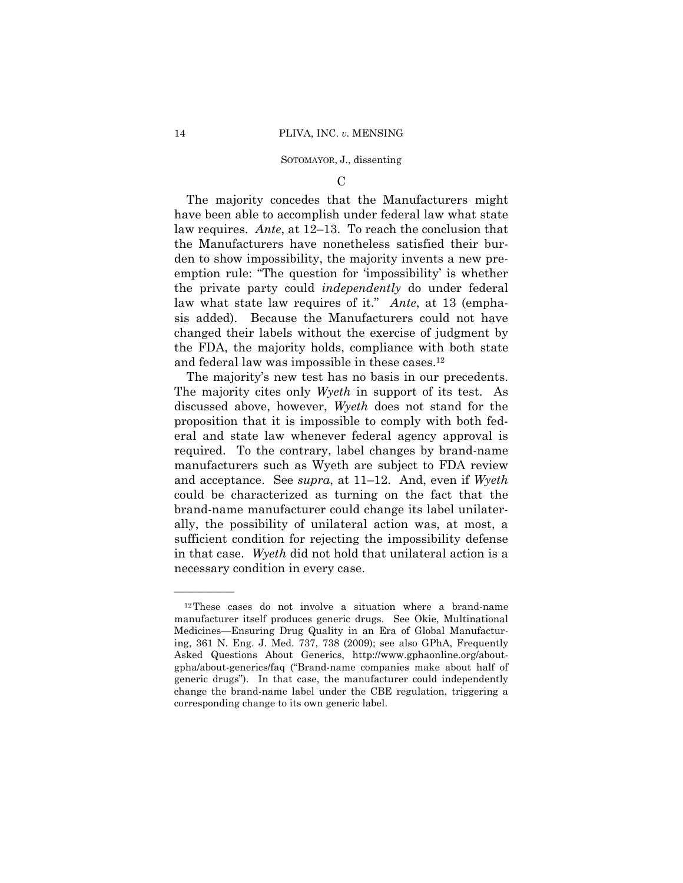### $\mathcal{C}$

The majority concedes that the Manufacturers might have been able to accomplish under federal law what state law requires. *Ante*, at 12–13. To reach the conclusion that the Manufacturers have nonetheless satisfied their burden to show impossibility, the majority invents a new preemption rule: "The question for 'impossibility' is whether the private party could *independently* do under federal law what state law requires of it." *Ante*, at 13 (emphasis added). Because the Manufacturers could not have changed their labels without the exercise of judgment by the FDA, the majority holds, compliance with both state and federal law was impossible in these cases.12

The majority's new test has no basis in our precedents. The majority cites only *Wyeth* in support of its test. As discussed above, however, *Wyeth* does not stand for the proposition that it is impossible to comply with both federal and state law whenever federal agency approval is required. To the contrary, label changes by brand-name manufacturers such as Wyeth are subject to FDA review and acceptance. See *supra*, at 11–12. And, even if *Wyeth* could be characterized as turning on the fact that the brand-name manufacturer could change its label unilaterally, the possibility of unilateral action was, at most, a sufficient condition for rejecting the impossibility defense in that case. *Wyeth* did not hold that unilateral action is a necessary condition in every case.

<sup>&</sup>lt;sup>12</sup>These cases do not involve a situation where a brand-name manufacturer itself produces generic drugs. See Okie, Multinational Medicines—Ensuring Drug Quality in an Era of Global Manufacturing, 361 N. Eng. J. Med. 737, 738 (2009); see also GPhA, Frequently Asked Questions About Generics, http://www.gphaonline.org/aboutgpha/about-generics/faq ("Brand-name companies make about half of generic drugs"). In that case, the manufacturer could independently change the brand-name label under the CBE regulation, triggering a corresponding change to its own generic label.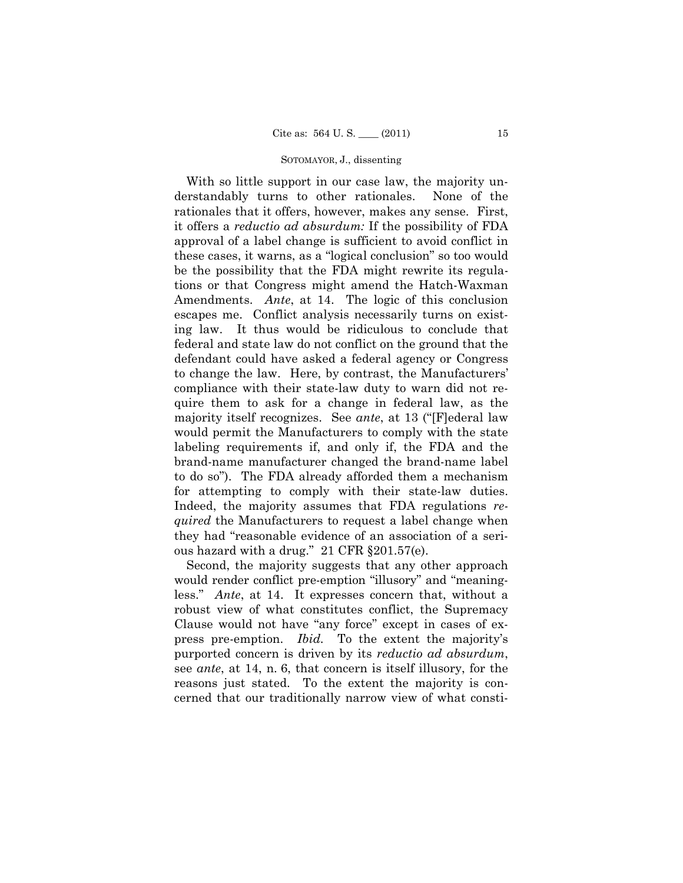With so little support in our case law, the majority understandably turns to other rationales. None of the rationales that it offers, however, makes any sense. First, it offers a *reductio ad absurdum:* If the possibility of FDA approval of a label change is sufficient to avoid conflict in these cases, it warns, as a "logical conclusion" so too would be the possibility that the FDA might rewrite its regulations or that Congress might amend the Hatch-Waxman Amendments. *Ante*, at 14. The logic of this conclusion escapes me. Conflict analysis necessarily turns on existing law. It thus would be ridiculous to conclude that federal and state law do not conflict on the ground that the defendant could have asked a federal agency or Congress to change the law. Here, by contrast, the Manufacturers' compliance with their state-law duty to warn did not require them to ask for a change in federal law, as the majority itself recognizes. See *ante*, at 13 ("[F]ederal law would permit the Manufacturers to comply with the state labeling requirements if, and only if, the FDA and the brand-name manufacturer changed the brand-name label to do so"). The FDA already afforded them a mechanism for attempting to comply with their state-law duties. Indeed, the majority assumes that FDA regulations *required* the Manufacturers to request a label change when they had "reasonable evidence of an association of a serious hazard with a drug." 21 CFR §201.57(e).

Second, the majority suggests that any other approach would render conflict pre-emption "illusory" and "meaningless." *Ante*, at 14. It expresses concern that, without a robust view of what constitutes conflict, the Supremacy Clause would not have "any force" except in cases of express pre-emption. *Ibid.* To the extent the majority's purported concern is driven by its *reductio ad absurdum*, see *ante*, at 14, n. 6, that concern is itself illusory, for the reasons just stated. To the extent the majority is concerned that our traditionally narrow view of what consti-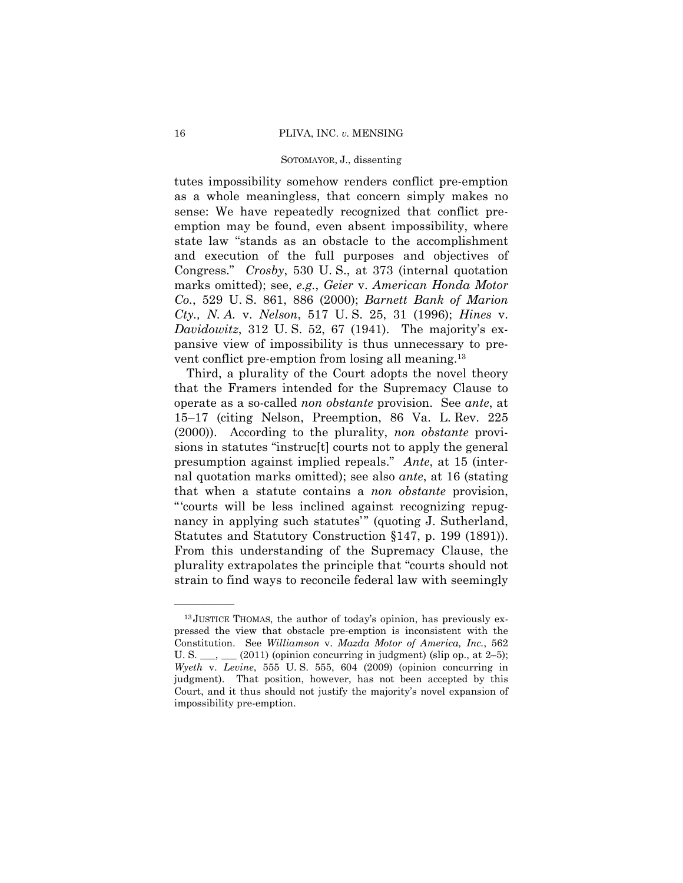tutes impossibility somehow renders conflict pre-emption as a whole meaningless, that concern simply makes no sense: We have repeatedly recognized that conflict preemption may be found, even absent impossibility, where state law "stands as an obstacle to the accomplishment and execution of the full purposes and objectives of Congress." *Crosby*, 530 U. S., at 373 (internal quotation marks omitted); see, *e.g.*, *Geier* v. *American Honda Motor Co.*, 529 U. S. 861, 886 (2000); *Barnett Bank of Marion Cty., N. A.* v. *Nelson*, 517 U. S. 25, 31 (1996); *Hines* v. *Davidowitz*, 312 U. S. 52, 67 (1941). The majority's expansive view of impossibility is thus unnecessary to prevent conflict pre-emption from losing all meaning.13

Third, a plurality of the Court adopts the novel theory that the Framers intended for the Supremacy Clause to operate as a so-called *non obstante* provision. See *ante*, at 15–17 (citing Nelson, Preemption, 86 Va. L. Rev. 225 (2000)). According to the plurality, *non obstante* provisions in statutes "instruc[t] courts not to apply the general presumption against implied repeals." *Ante*, at 15 (internal quotation marks omitted); see also *ante*, at 16 (stating that when a statute contains a *non obstante* provision, "'courts will be less inclined against recognizing repugnancy in applying such statutes'" (quoting J. Sutherland, Statutes and Statutory Construction §147, p. 199 (1891)). From this understanding of the Supremacy Clause, the plurality extrapolates the principle that "courts should not strain to find ways to reconcile federal law with seemingly

<sup>13</sup> JUSTICE THOMAS, the author of today's opinion, has previously expressed the view that obstacle pre-emption is inconsistent with the Constitution. See *Williamson* v. *Mazda Motor of America, Inc.*, 562 U. S.  $\_\_\_\_\_\_\_\_\_\_\$ (2011) (opinion concurring in judgment) (slip op., at 2–5); *Wyeth* v. *Levine*, 555 U. S. 555, 604 (2009) (opinion concurring in judgment). That position, however, has not been accepted by this Court, and it thus should not justify the majority's novel expansion of impossibility pre-emption.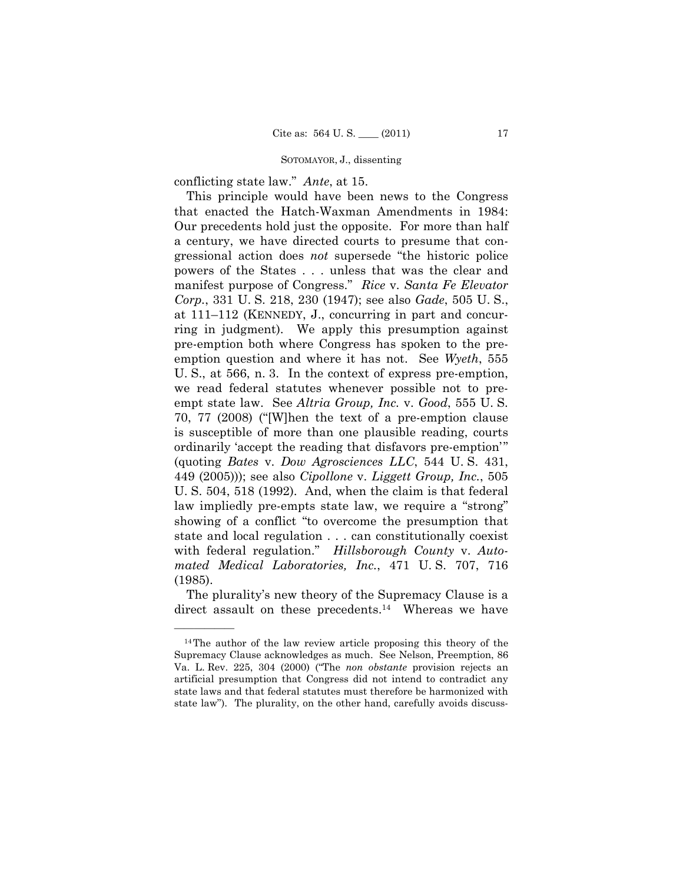conflicting state law." *Ante*, at 15.

This principle would have been news to the Congress that enacted the Hatch-Waxman Amendments in 1984: Our precedents hold just the opposite. For more than half a century, we have directed courts to presume that congressional action does *not* supersede "the historic police powers of the States . . . unless that was the clear and manifest purpose of Congress." *Rice* v. *Santa Fe Elevator Corp.*, 331 U. S. 218, 230 (1947); see also *Gade*, 505 U. S., at 111–112 (KENNEDY, J., concurring in part and concurring in judgment). We apply this presumption against pre-emption both where Congress has spoken to the preemption question and where it has not. See *Wyeth*, 555 U. S., at 566, n. 3. In the context of express pre-emption, we read federal statutes whenever possible not to preempt state law. See *Altria Group, Inc.* v. *Good*, 555 U. S. 70, 77 (2008) ("[W]hen the text of a pre-emption clause is susceptible of more than one plausible reading, courts ordinarily 'accept the reading that disfavors pre-emption'" (quoting *Bates* v. *Dow Agrosciences LLC*, 544 U. S. 431, 449 (2005))); see also *Cipollone* v. *Liggett Group, Inc.*, 505 U. S. 504, 518 (1992). And, when the claim is that federal law impliedly pre-empts state law, we require a "strong" showing of a conflict "to overcome the presumption that state and local regulation . . . can constitutionally coexist with federal regulation." *Hillsborough County* v. *Automated Medical Laboratories, Inc.*, 471 U. S. 707, 716 (1985).

The plurality's new theory of the Supremacy Clause is a direct assault on these precedents.<sup>14</sup> Whereas we have

<sup>14</sup>The author of the law review article proposing this theory of the Supremacy Clause acknowledges as much. See Nelson, Preemption, 86 Va. L. Rev. 225, 304 (2000) ("The *non obstante* provision rejects an artificial presumption that Congress did not intend to contradict any state laws and that federal statutes must therefore be harmonized with state law"). The plurality, on the other hand, carefully avoids discuss-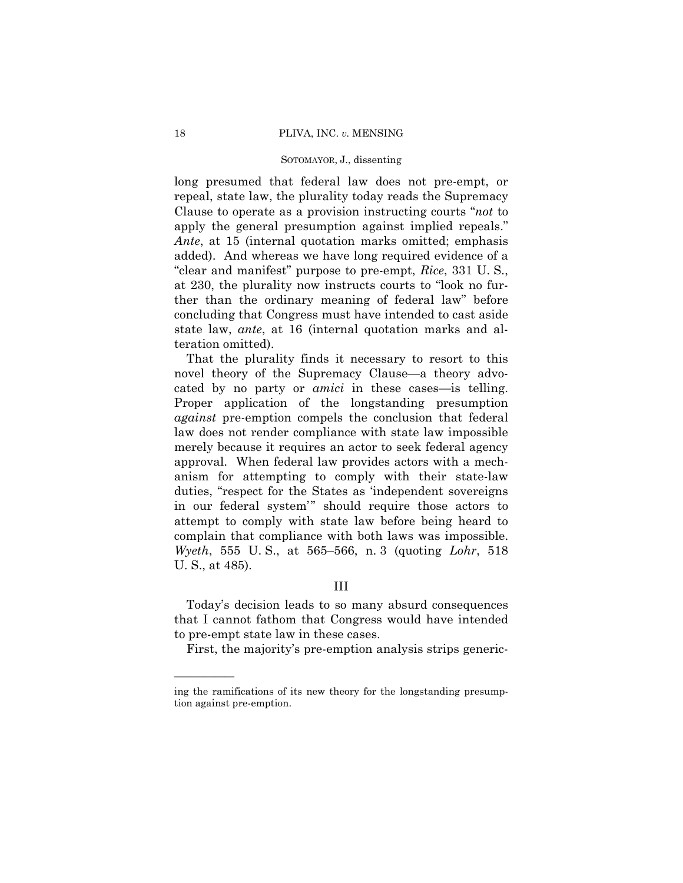long presumed that federal law does not pre-empt, or repeal, state law, the plurality today reads the Supremacy Clause to operate as a provision instructing courts "*not* to apply the general presumption against implied repeals." *Ante*, at 15 (internal quotation marks omitted; emphasis added). And whereas we have long required evidence of a "clear and manifest" purpose to pre-empt, *Rice*, 331 U. S., at 230, the plurality now instructs courts to "look no further than the ordinary meaning of federal law" before concluding that Congress must have intended to cast aside state law, *ante*, at 16 (internal quotation marks and alteration omitted).

That the plurality finds it necessary to resort to this novel theory of the Supremacy Clause—a theory advocated by no party or *amici* in these cases—is telling. Proper application of the longstanding presumption *against* pre-emption compels the conclusion that federal law does not render compliance with state law impossible merely because it requires an actor to seek federal agency approval. When federal law provides actors with a mechanism for attempting to comply with their state-law duties, "respect for the States as 'independent sovereigns in our federal system'" should require those actors to attempt to comply with state law before being heard to complain that compliance with both laws was impossible. *Wyeth*, 555 U. S., at 565–566, n. 3 (quoting *Lohr*, 518 U. S., at 485).

### III

Today's decision leads to so many absurd consequences that I cannot fathom that Congress would have intended to pre-empt state law in these cases.

First, the majority's pre-emption analysis strips generic-

ing the ramifications of its new theory for the longstanding presumption against pre-emption.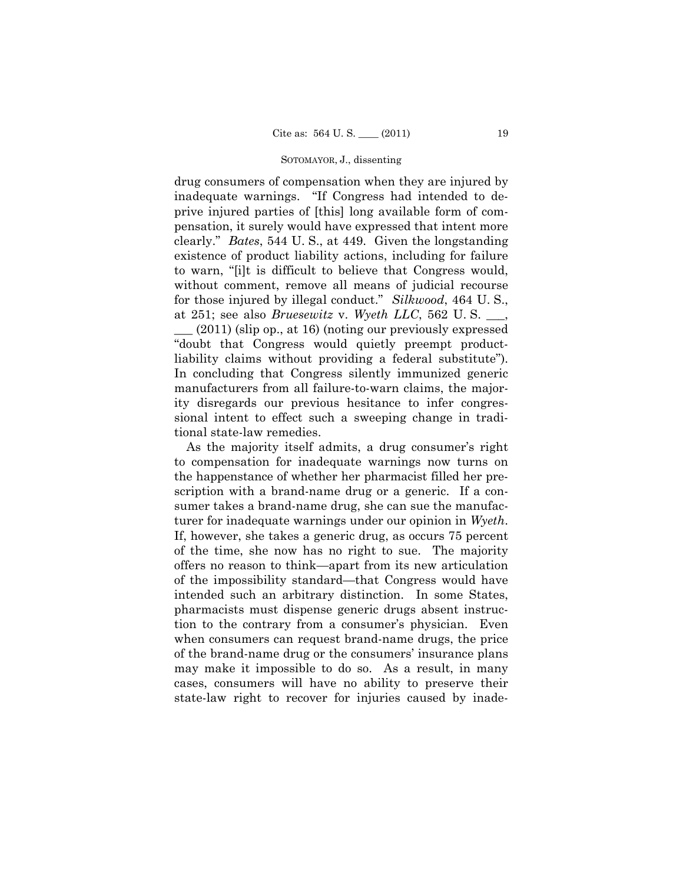drug consumers of compensation when they are injured by inadequate warnings. "If Congress had intended to deprive injured parties of [this] long available form of compensation, it surely would have expressed that intent more clearly." *Bates*, 544 U. S., at 449. Given the longstanding existence of product liability actions, including for failure to warn, "[i]t is difficult to believe that Congress would, without comment, remove all means of judicial recourse for those injured by illegal conduct." *Silkwood*, 464 U. S., at 251; see also *Bruesewitz* v. *Wyeth LLC*, 562 U. S. \_\_\_,

\_\_\_ (2011) (slip op., at 16) (noting our previously expressed "doubt that Congress would quietly preempt productliability claims without providing a federal substitute"). In concluding that Congress silently immunized generic manufacturers from all failure-to-warn claims, the majority disregards our previous hesitance to infer congressional intent to effect such a sweeping change in traditional state-law remedies.

As the majority itself admits, a drug consumer's right to compensation for inadequate warnings now turns on the happenstance of whether her pharmacist filled her prescription with a brand-name drug or a generic. If a consumer takes a brand-name drug, she can sue the manufacturer for inadequate warnings under our opinion in *Wyeth*. If, however, she takes a generic drug, as occurs 75 percent of the time, she now has no right to sue. The majority offers no reason to think—apart from its new articulation of the impossibility standard—that Congress would have intended such an arbitrary distinction. In some States, pharmacists must dispense generic drugs absent instruction to the contrary from a consumer's physician. Even when consumers can request brand-name drugs, the price of the brand-name drug or the consumers' insurance plans may make it impossible to do so. As a result, in many cases, consumers will have no ability to preserve their state-law right to recover for injuries caused by inade-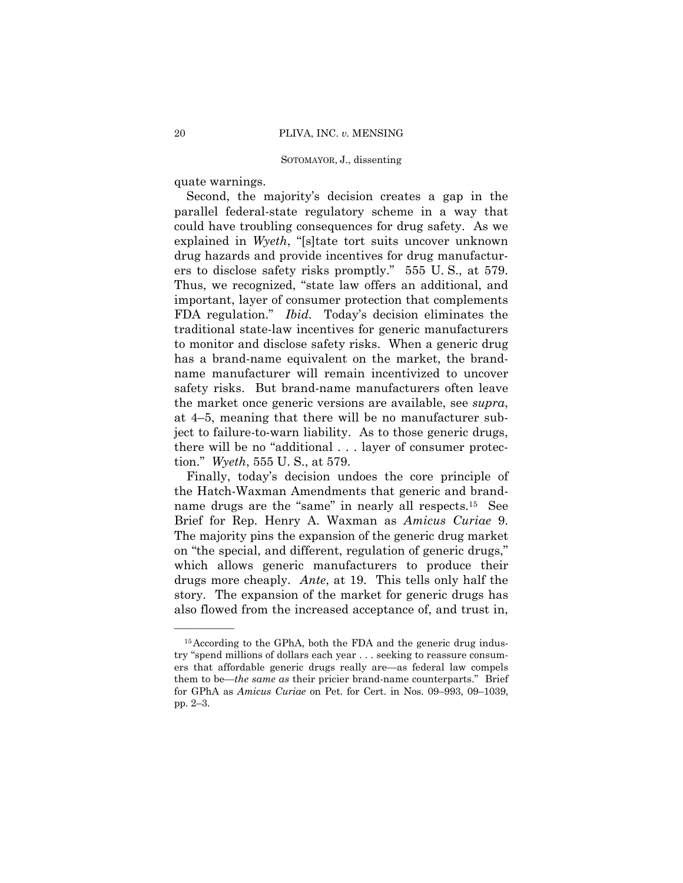quate warnings.

——————

Second, the majority's decision creates a gap in the parallel federal-state regulatory scheme in a way that could have troubling consequences for drug safety. As we explained in *Wyeth*, "[s]tate tort suits uncover unknown drug hazards and provide incentives for drug manufacturers to disclose safety risks promptly." 555 U. S., at 579. Thus, we recognized, "state law offers an additional, and important, layer of consumer protection that complements FDA regulation." *Ibid.* Today's decision eliminates the traditional state-law incentives for generic manufacturers to monitor and disclose safety risks. When a generic drug has a brand-name equivalent on the market, the brandname manufacturer will remain incentivized to uncover safety risks. But brand-name manufacturers often leave the market once generic versions are available, see *supra*, at 4–5, meaning that there will be no manufacturer subject to failure-to-warn liability. As to those generic drugs, there will be no "additional . . . layer of consumer protection." *Wyeth*, 555 U. S., at 579.

Finally, today's decision undoes the core principle of the Hatch-Waxman Amendments that generic and brandname drugs are the "same" in nearly all respects.15 See Brief for Rep. Henry A. Waxman as *Amicus Curiae* 9. The majority pins the expansion of the generic drug market on "the special, and different, regulation of generic drugs," which allows generic manufacturers to produce their drugs more cheaply. *Ante*, at 19. This tells only half the story. The expansion of the market for generic drugs has also flowed from the increased acceptance of, and trust in,

<sup>&</sup>lt;sup>15</sup> According to the GPhA, both the FDA and the generic drug industry "spend millions of dollars each year . . . seeking to reassure consumers that affordable generic drugs really are—as federal law compels them to be—*the same as* their pricier brand-name counterparts." Brief for GPhA as *Amicus Curiae* on Pet. for Cert. in Nos. 09–993, 09–1039, pp. 2–3.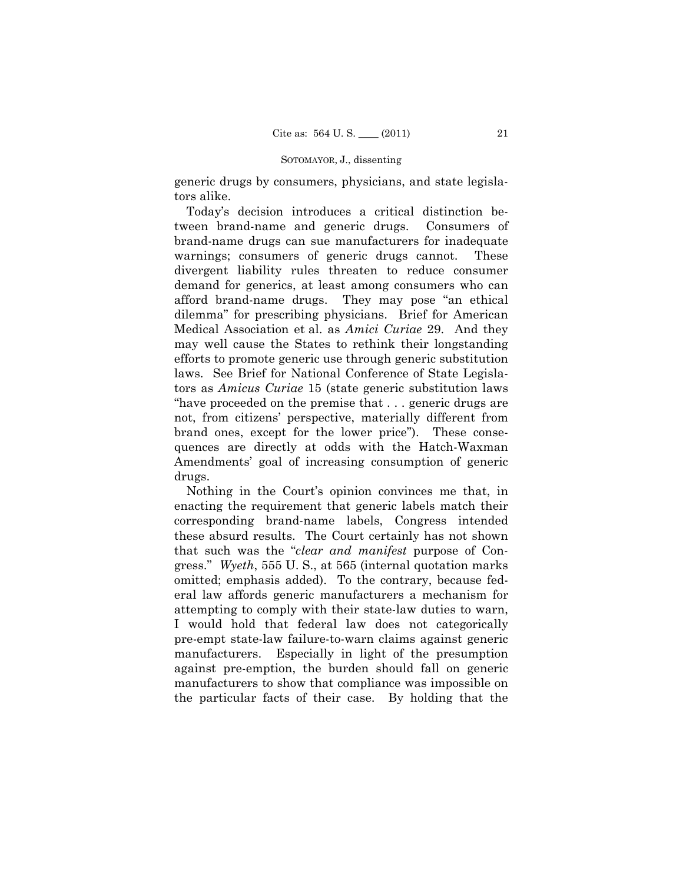generic drugs by consumers, physicians, and state legislators alike.

Today's decision introduces a critical distinction between brand-name and generic drugs. Consumers of brand-name drugs can sue manufacturers for inadequate warnings; consumers of generic drugs cannot. These divergent liability rules threaten to reduce consumer demand for generics, at least among consumers who can afford brand-name drugs. They may pose "an ethical dilemma" for prescribing physicians. Brief for American Medical Association et al. as *Amici Curiae* 29. And they may well cause the States to rethink their longstanding efforts to promote generic use through generic substitution laws. See Brief for National Conference of State Legislators as *Amicus Curiae* 15 (state generic substitution laws "have proceeded on the premise that . . . generic drugs are not, from citizens' perspective, materially different from brand ones, except for the lower price"). These consequences are directly at odds with the Hatch-Waxman Amendments' goal of increasing consumption of generic drugs.

Nothing in the Court's opinion convinces me that, in enacting the requirement that generic labels match their corresponding brand-name labels, Congress intended these absurd results. The Court certainly has not shown that such was the "*clear and manifest* purpose of Congress." *Wyeth*, 555 U. S., at 565 (internal quotation marks omitted; emphasis added). To the contrary, because federal law affords generic manufacturers a mechanism for attempting to comply with their state-law duties to warn, I would hold that federal law does not categorically pre-empt state-law failure-to-warn claims against generic manufacturers. Especially in light of the presumption against pre-emption, the burden should fall on generic manufacturers to show that compliance was impossible on the particular facts of their case. By holding that the